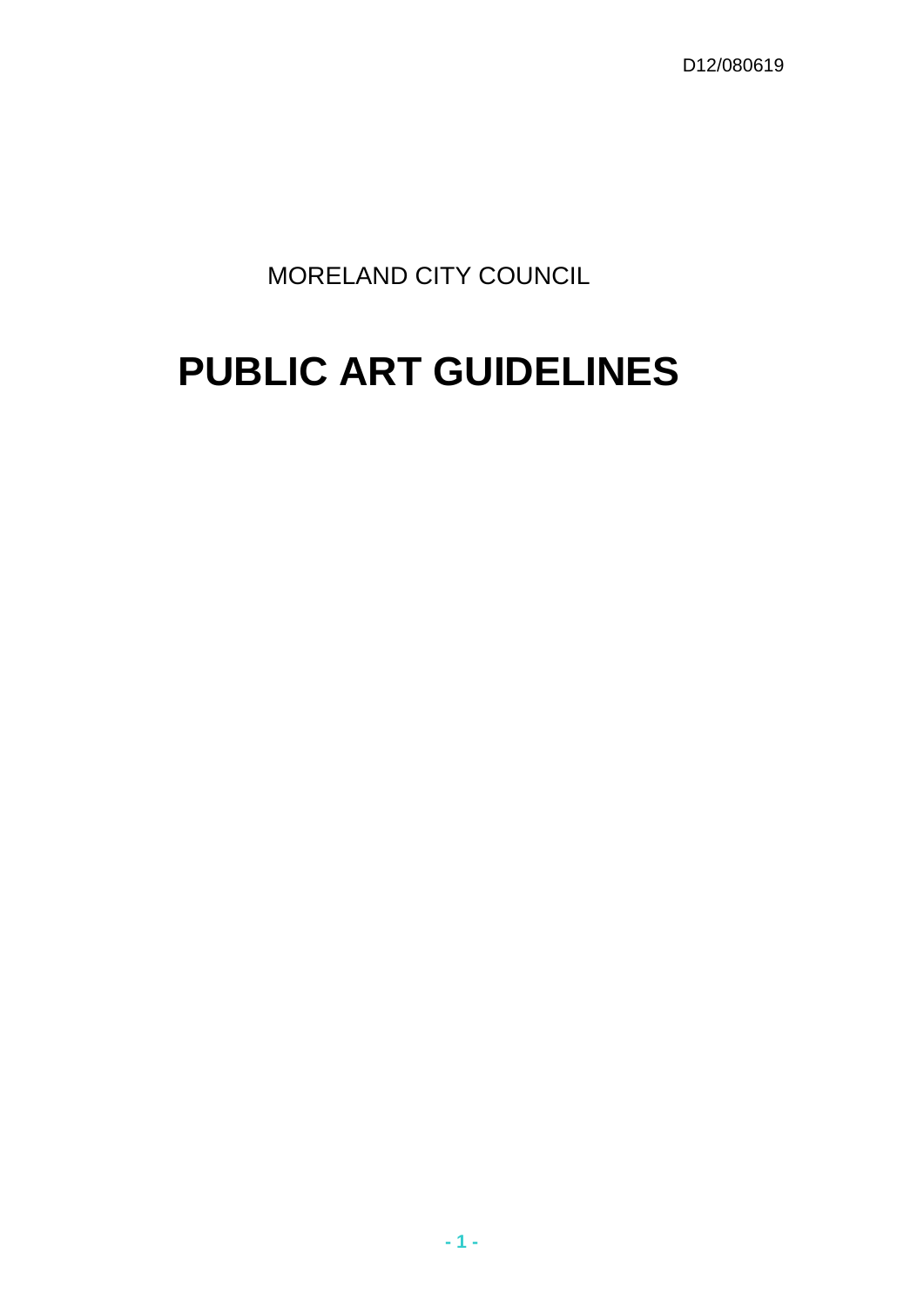MORELAND CITY COUNCIL

# **PUBLIC ART GUIDELINES**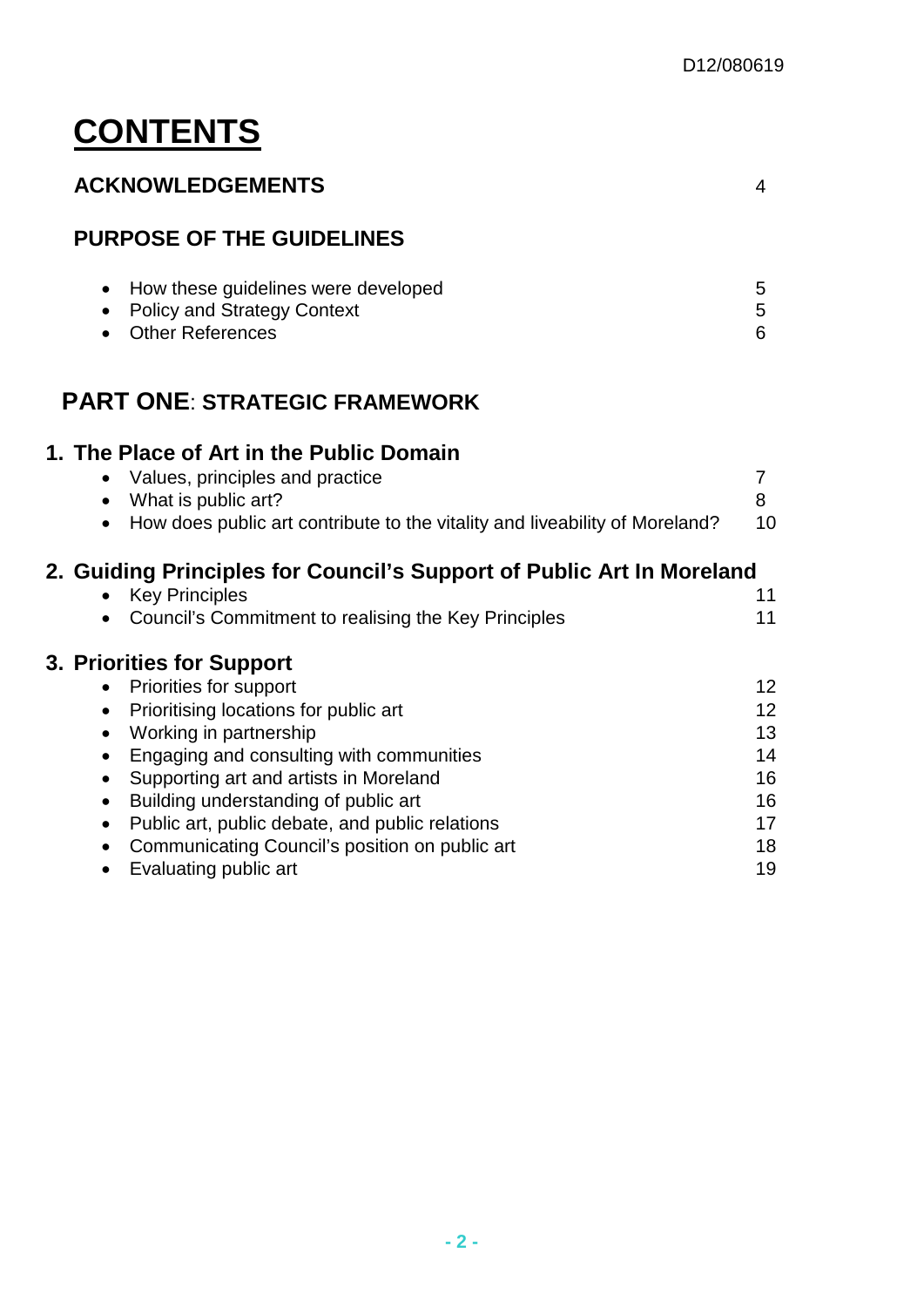## **CONTENTS**

### **ACKNOWLEDGEMENTS** 4

### **PURPOSE OF THE GUIDELINES**

| • How these guidelines were developed |  |
|---------------------------------------|--|
| • Policy and Strategy Context         |  |
| • Other References                    |  |

### **PART ONE**: **STRATEGIC FRAMEWORK**

#### **1. The Place of Art in the Public Domain**

| • Values, principles and practice                                             |    |
|-------------------------------------------------------------------------------|----|
| • What is public art?                                                         |    |
| • How does public art contribute to the vitality and liveability of Moreland? | 10 |

### **2. Guiding Principles for Council's Support of Public Art In Moreland**

| <b>Key Principles</b><br>$\bullet$<br>Council's Commitment to realising the Key Principles<br>$\bullet$ | 11<br>11 |
|---------------------------------------------------------------------------------------------------------|----------|
| 3. Priorities for Support                                                                               |          |
| Priorities for support                                                                                  | 12       |
| Prioritising locations for public art<br>$\bullet$                                                      | 12       |
| Working in partnership<br>$\bullet$                                                                     | 13       |
| Engaging and consulting with communities<br>$\bullet$                                                   | 14       |
| Supporting art and artists in Moreland<br>$\bullet$                                                     | 16       |
| Building understanding of public art<br>٠                                                               | 16       |
| Public art, public debate, and public relations<br>$\bullet$                                            | 17       |
| Communicating Council's position on public art<br>٠                                                     | 18       |
| Evaluating public art                                                                                   | 19       |
|                                                                                                         |          |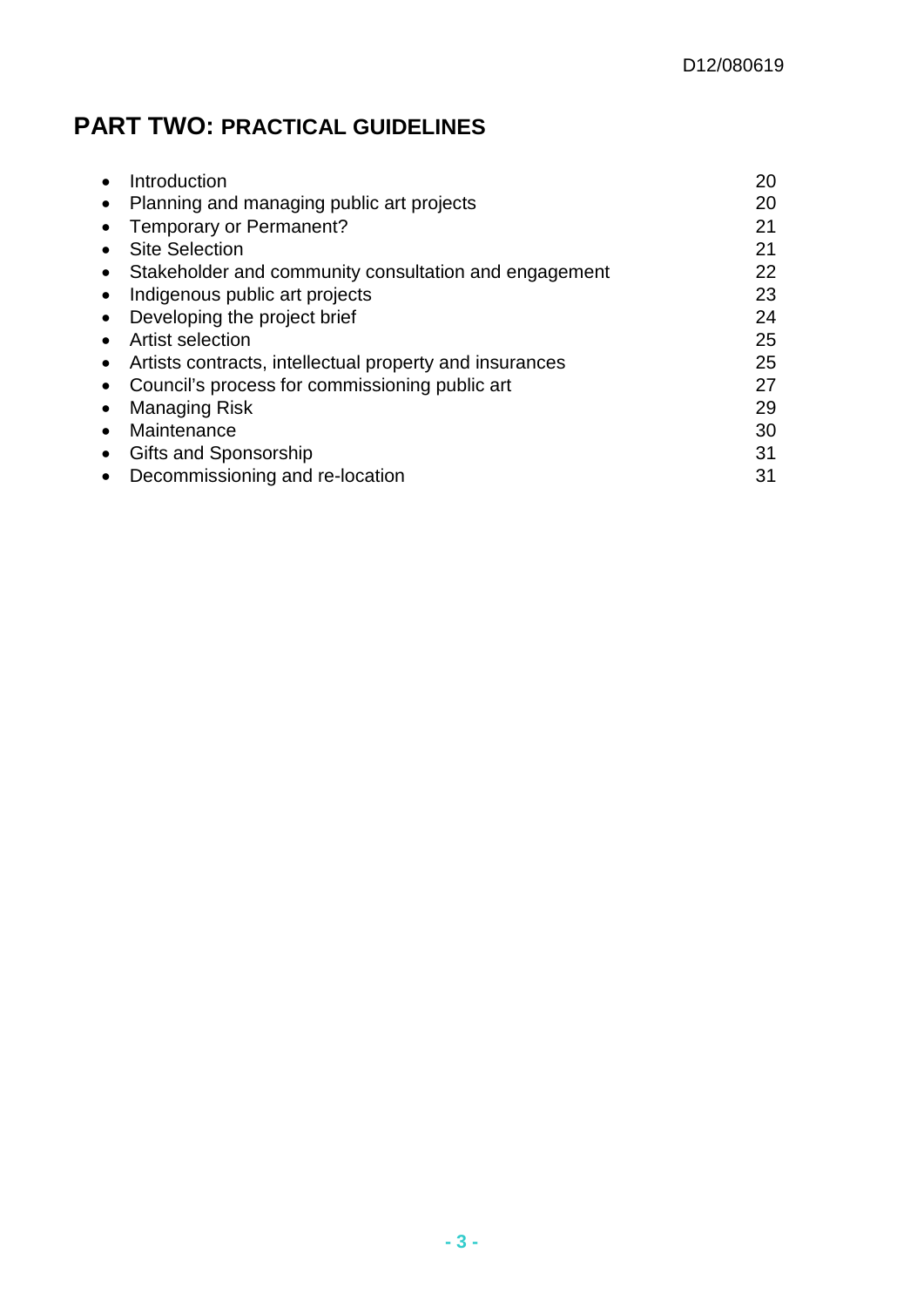## **PART TWO: PRACTICAL GUIDELINES**

| Introduction                                            | 20 |
|---------------------------------------------------------|----|
| Planning and managing public art projects               | 20 |
| Temporary or Permanent?                                 | 21 |
| <b>Site Selection</b>                                   | 21 |
| Stakeholder and community consultation and engagement   | 22 |
| Indigenous public art projects                          | 23 |
| Developing the project brief                            | 24 |
| Artist selection                                        | 25 |
| Artists contracts, intellectual property and insurances | 25 |
| Council's process for commissioning public art          | 27 |
| Managing Risk                                           | 29 |
| Maintenance                                             | 30 |
| Gifts and Sponsorship                                   | 31 |
| Decommissioning and re-location                         | 31 |
|                                                         |    |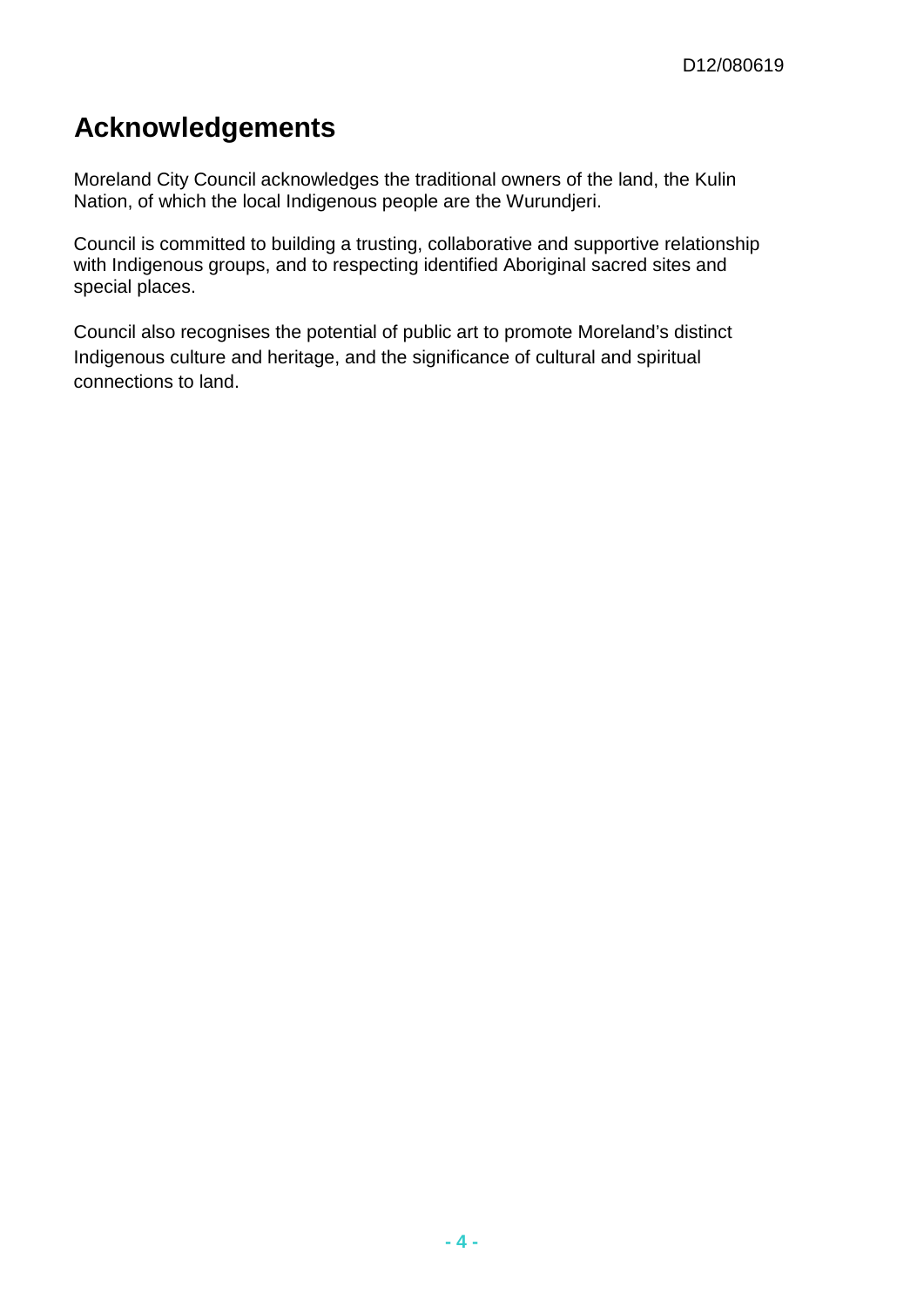## **Acknowledgements**

Moreland City Council acknowledges the traditional owners of the land, the Kulin Nation, of which the local Indigenous people are the Wurundjeri.

Council is committed to building a trusting, collaborative and supportive relationship with Indigenous groups, and to respecting identified Aboriginal sacred sites and special places.

Council also recognises the potential of public art to promote Moreland's distinct Indigenous culture and heritage, and the significance of cultural and spiritual connections to land.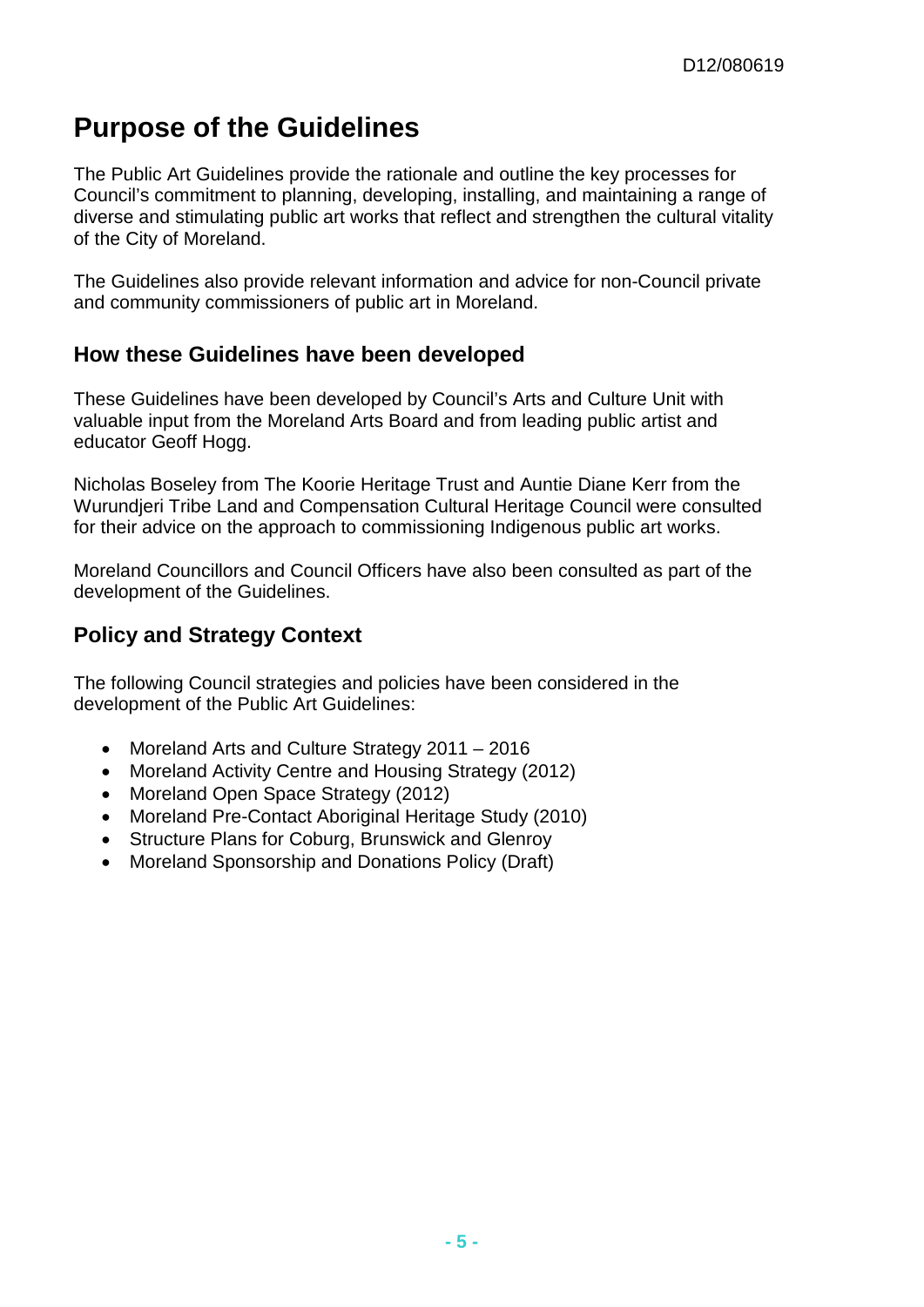## **Purpose of the Guidelines**

The Public Art Guidelines provide the rationale and outline the key processes for Council's commitment to planning, developing, installing, and maintaining a range of diverse and stimulating public art works that reflect and strengthen the cultural vitality of the City of Moreland.

The Guidelines also provide relevant information and advice for non-Council private and community commissioners of public art in Moreland.

#### **How these Guidelines have been developed**

These Guidelines have been developed by Council's Arts and Culture Unit with valuable input from the Moreland Arts Board and from leading public artist and educator Geoff Hogg.

Nicholas Boseley from The Koorie Heritage Trust and Auntie Diane Kerr from the Wurundjeri Tribe Land and Compensation Cultural Heritage Council were consulted for their advice on the approach to commissioning Indigenous public art works.

Moreland Councillors and Council Officers have also been consulted as part of the development of the Guidelines.

#### **Policy and Strategy Context**

The following Council strategies and policies have been considered in the development of the Public Art Guidelines:

- Moreland Arts and Culture Strategy 2011 2016
- Moreland Activity Centre and Housing Strategy (2012)
- Moreland Open Space Strategy (2012)
- Moreland Pre-Contact Aboriginal Heritage Study (2010)
- Structure Plans for Coburg, Brunswick and Glenroy
- Moreland Sponsorship and Donations Policy (Draft)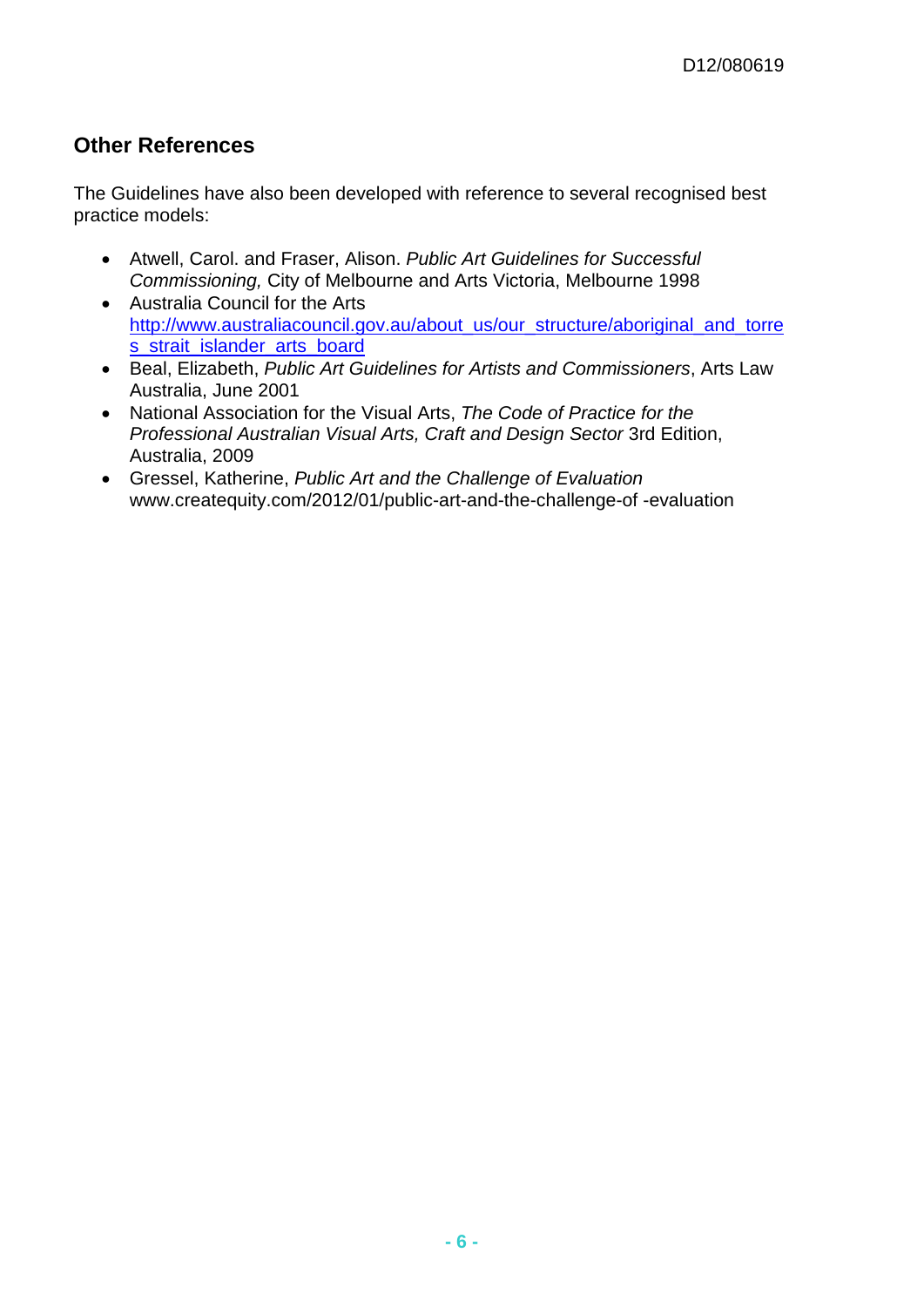#### **Other References**

The Guidelines have also been developed with reference to several recognised best practice models:

- Atwell, Carol. and Fraser, Alison. *Public Art Guidelines for Successful Commissioning,* City of Melbourne and Arts Victoria, Melbourne 1998
- Australia Council for the Arts [http://www.australiacouncil.gov.au/about\\_us/our\\_structure/aboriginal\\_and\\_torre](http://www.australiacouncil.gov.au/about_us/our_structure/aboriginal_and_torres_strait_islander_arts_board) [s\\_strait\\_islander\\_arts\\_board](http://www.australiacouncil.gov.au/about_us/our_structure/aboriginal_and_torres_strait_islander_arts_board)
- Beal, Elizabeth, *Public Art Guidelines for Artists and Commissioners*, Arts Law Australia, June 2001
- National Association for the Visual Arts, *The Code of Practice for the Professional Australian Visual Arts, Craft and Design Sector* 3rd Edition, Australia, 2009
- Gressel, Katherine, *Public Art and the Challenge of Evaluation*  www.createquity.com/2012/01/public-art-and-the-challenge-of -evaluation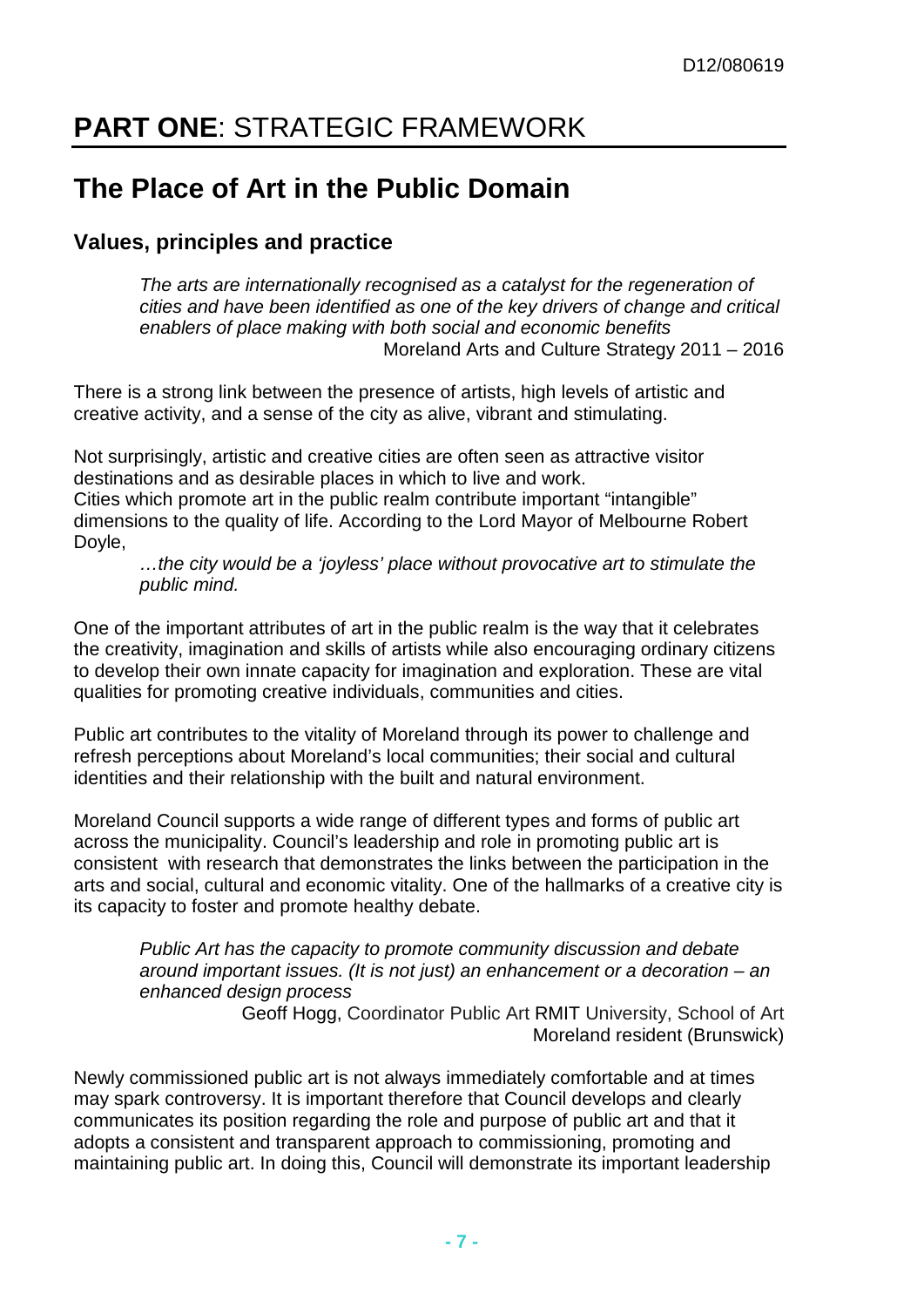## **The Place of Art in the Public Domain**

#### **Values, principles and practice**

*The arts are internationally recognised as a catalyst for the regeneration of cities and have been identified as one of the key drivers of change and critical enablers of place making with both social and economic benefits* Moreland Arts and Culture Strategy 2011 – 2016

There is a strong link between the presence of artists, high levels of artistic and creative activity, and a sense of the city as alive, vibrant and stimulating.

Not surprisingly, artistic and creative cities are often seen as attractive visitor destinations and as desirable places in which to live and work. Cities which promote art in the public realm contribute important "intangible" dimensions to the quality of life. According to the Lord Mayor of Melbourne Robert Doyle,

*…the city would be a 'joyless' place without provocative art to stimulate the public mind.*

One of the important attributes of art in the public realm is the way that it celebrates the creativity, imagination and skills of artists while also encouraging ordinary citizens to develop their own innate capacity for imagination and exploration. These are vital qualities for promoting creative individuals, communities and cities.

Public art contributes to the vitality of Moreland through its power to challenge and refresh perceptions about Moreland's local communities; their social and cultural identities and their relationship with the built and natural environment.

Moreland Council supports a wide range of different types and forms of public art across the municipality. Council's leadership and role in promoting public art is consistent with research that demonstrates the links between the participation in the arts and social, cultural and economic vitality. One of the hallmarks of a creative city is its capacity to foster and promote healthy debate.

*Public Art has the capacity to promote community discussion and debate around important issues. (It is not just) an enhancement or a decoration – an enhanced design process*

Geoff Hogg, Coordinator Public Art RMIT University, School of Art Moreland resident (Brunswick)

Newly commissioned public art is not always immediately comfortable and at times may spark controversy. It is important therefore that Council develops and clearly communicates its position regarding the role and purpose of public art and that it adopts a consistent and transparent approach to commissioning, promoting and maintaining public art. In doing this, Council will demonstrate its important leadership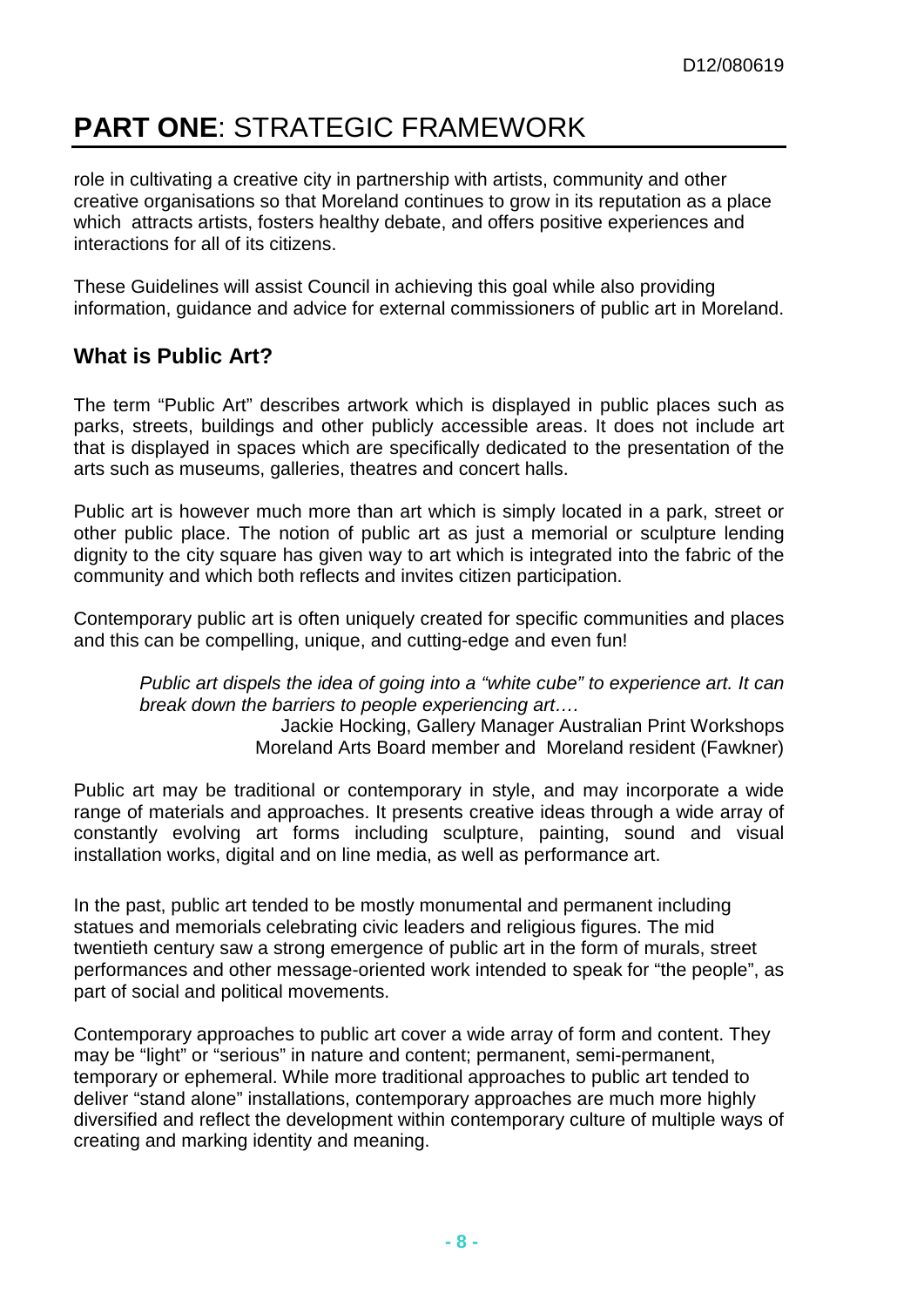role in cultivating a creative city in partnership with artists, community and other creative organisations so that Moreland continues to grow in its reputation as a place which attracts artists, fosters healthy debate, and offers positive experiences and interactions for all of its citizens.

These Guidelines will assist Council in achieving this goal while also providing information, guidance and advice for external commissioners of public art in Moreland.

#### **What is Public Art?**

The term "Public Art" describes artwork which is displayed in public places such as parks, streets, buildings and other publicly accessible areas. It does not include art that is displayed in spaces which are specifically dedicated to the presentation of the arts such as museums, galleries, theatres and concert halls.

Public art is however much more than art which is simply located in a park, street or other public place. The notion of public art as just a memorial or sculpture lending dignity to the city square has given way to art which is integrated into the fabric of the community and which both reflects and invites citizen participation.

Contemporary public art is often uniquely created for specific communities and places and this can be compelling, unique, and cutting-edge and even fun!

*Public art dispels the idea of going into a "white cube" to experience art. It can break down the barriers to people experiencing art….*

Jackie Hocking, Gallery Manager Australian Print Workshops Moreland Arts Board member and Moreland resident (Fawkner)

Public art may be traditional or contemporary in style, and may incorporate a wide range of materials and approaches. It presents creative ideas through a wide array of constantly evolving art forms including sculpture, painting, sound and visual installation works, digital and on line media, as well as performance art.

In the past, public art tended to be mostly monumental and permanent including statues and memorials celebrating civic leaders and religious figures. The mid twentieth century saw a strong emergence of public art in the form of murals, street performances and other message-oriented work intended to speak for "the people", as part of social and political movements.

Contemporary approaches to public art cover a wide array of form and content. They may be "light" or "serious" in nature and content; permanent, semi-permanent, temporary or ephemeral. While more traditional approaches to public art tended to deliver "stand alone" installations, contemporary approaches are much more highly diversified and reflect the development within contemporary culture of multiple ways of creating and marking identity and meaning.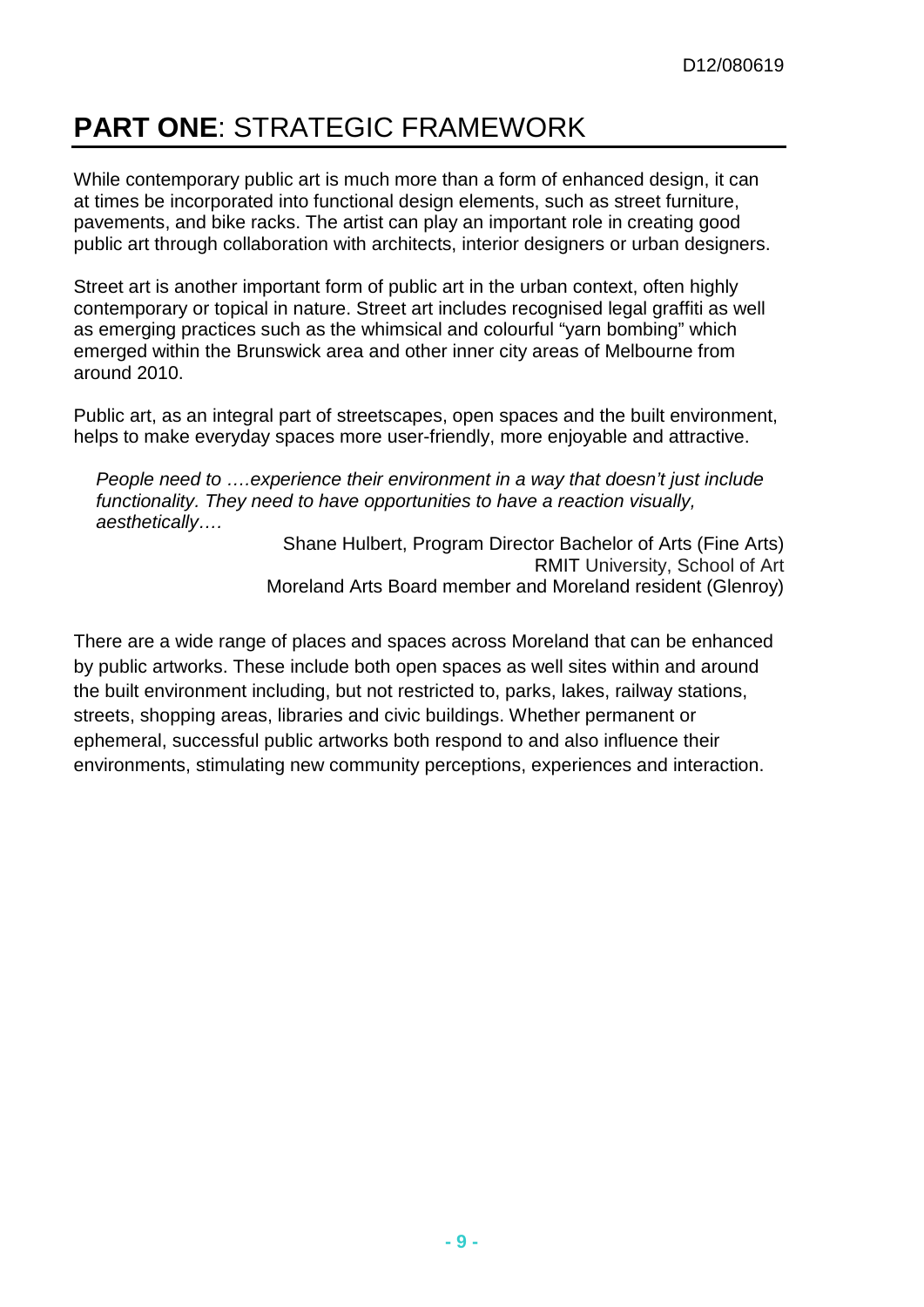While contemporary public art is much more than a form of enhanced design, it can at times be incorporated into functional design elements, such as street furniture, pavements, and bike racks. The artist can play an important role in creating good public art through collaboration with architects, interior designers or urban designers.

Street art is another important form of public art in the urban context, often highly contemporary or topical in nature. Street art includes recognised legal graffiti as well as emerging practices such as the whimsical and colourful "yarn bombing" which emerged within the Brunswick area and other inner city areas of Melbourne from around 2010.

Public art, as an integral part of streetscapes, open spaces and the built environment, helps to make everyday spaces more user-friendly, more enjoyable and attractive.

*People need to ….experience their environment in a way that doesn't just include functionality. They need to have opportunities to have a reaction visually, aesthetically….*

Shane Hulbert, Program Director Bachelor of Arts (Fine Arts) RMIT University, School of Art Moreland Arts Board member and Moreland resident (Glenroy)

There are a wide range of places and spaces across Moreland that can be enhanced by public artworks. These include both open spaces as well sites within and around the built environment including, but not restricted to, parks, lakes, railway stations, streets, shopping areas, libraries and civic buildings. Whether permanent or ephemeral, successful public artworks both respond to and also influence their environments, stimulating new community perceptions, experiences and interaction.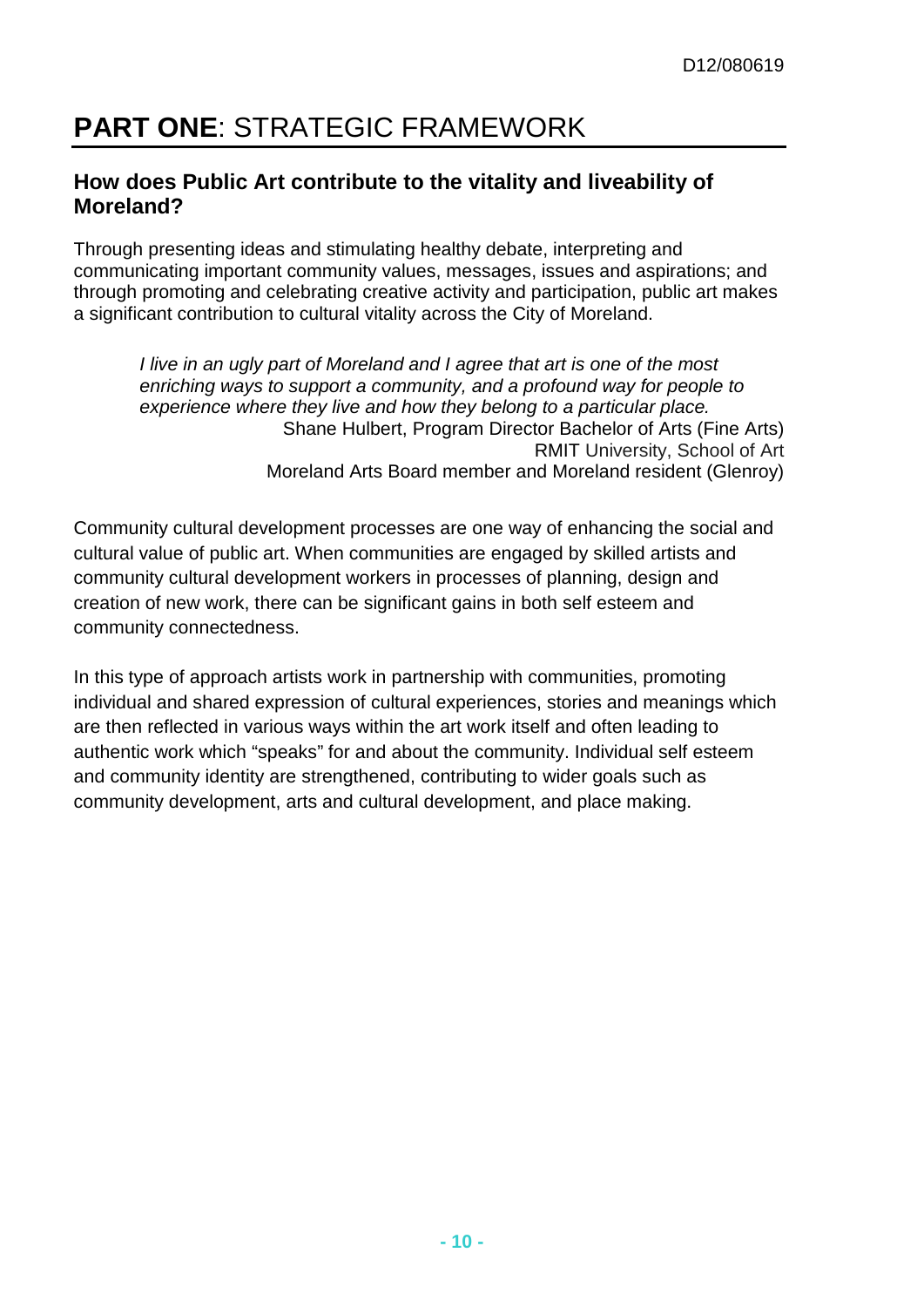#### **How does Public Art contribute to the vitality and liveability of Moreland?**

Through presenting ideas and stimulating healthy debate, interpreting and communicating important community values, messages, issues and aspirations; and through promoting and celebrating creative activity and participation, public art makes a significant contribution to cultural vitality across the City of Moreland.

*I live in an ugly part of Moreland and I agree that art is one of the most enriching ways to support a community, and a profound way for people to experience where they live and how they belong to a particular place.*  Shane Hulbert, Program Director Bachelor of Arts (Fine Arts) RMIT University, School of Art Moreland Arts Board member and Moreland resident (Glenroy)

Community cultural development processes are one way of enhancing the social and cultural value of public art. When communities are engaged by skilled artists and community cultural development workers in processes of planning, design and creation of new work, there can be significant gains in both self esteem and community connectedness.

In this type of approach artists work in partnership with communities, promoting individual and shared expression of cultural experiences, stories and meanings which are then reflected in various ways within the art work itself and often leading to authentic work which "speaks" for and about the community. Individual self esteem and community identity are strengthened, contributing to wider goals such as community development, arts and cultural development, and place making.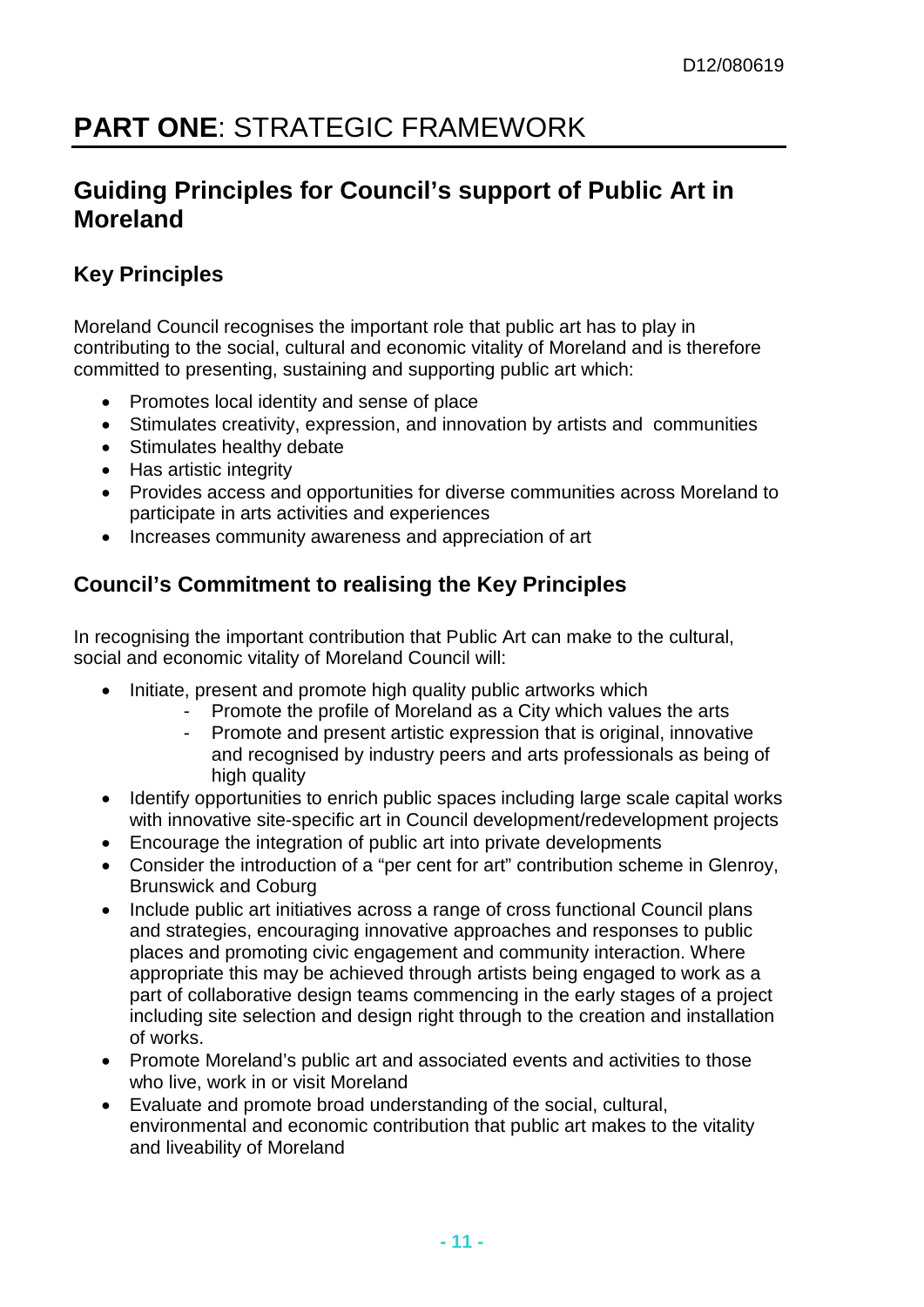### **Guiding Principles for Council's support of Public Art in Moreland**

### **Key Principles**

Moreland Council recognises the important role that public art has to play in contributing to the social, cultural and economic vitality of Moreland and is therefore committed to presenting, sustaining and supporting public art which:

- Promotes local identity and sense of place
- Stimulates creativity, expression, and innovation by artists and communities
- Stimulates healthy debate
- Has artistic integrity
- Provides access and opportunities for diverse communities across Moreland to participate in arts activities and experiences
- Increases community awareness and appreciation of art

#### **Council's Commitment to realising the Key Principles**

In recognising the important contribution that Public Art can make to the cultural, social and economic vitality of Moreland Council will:

- Initiate, present and promote high quality public artworks which
	- Promote the profile of Moreland as a City which values the arts
	- Promote and present artistic expression that is original, innovative and recognised by industry peers and arts professionals as being of high quality
- Identify opportunities to enrich public spaces including large scale capital works with innovative site-specific art in Council development/redevelopment projects
- Encourage the integration of public art into private developments
- Consider the introduction of a "per cent for art" contribution scheme in Glenroy, Brunswick and Coburg
- Include public art initiatives across a range of cross functional Council plans and strategies, encouraging innovative approaches and responses to public places and promoting civic engagement and community interaction. Where appropriate this may be achieved through artists being engaged to work as a part of collaborative design teams commencing in the early stages of a project including site selection and design right through to the creation and installation of works.
- Promote Moreland's public art and associated events and activities to those who live, work in or visit Moreland
- Evaluate and promote broad understanding of the social, cultural, environmental and economic contribution that public art makes to the vitality and liveability of Moreland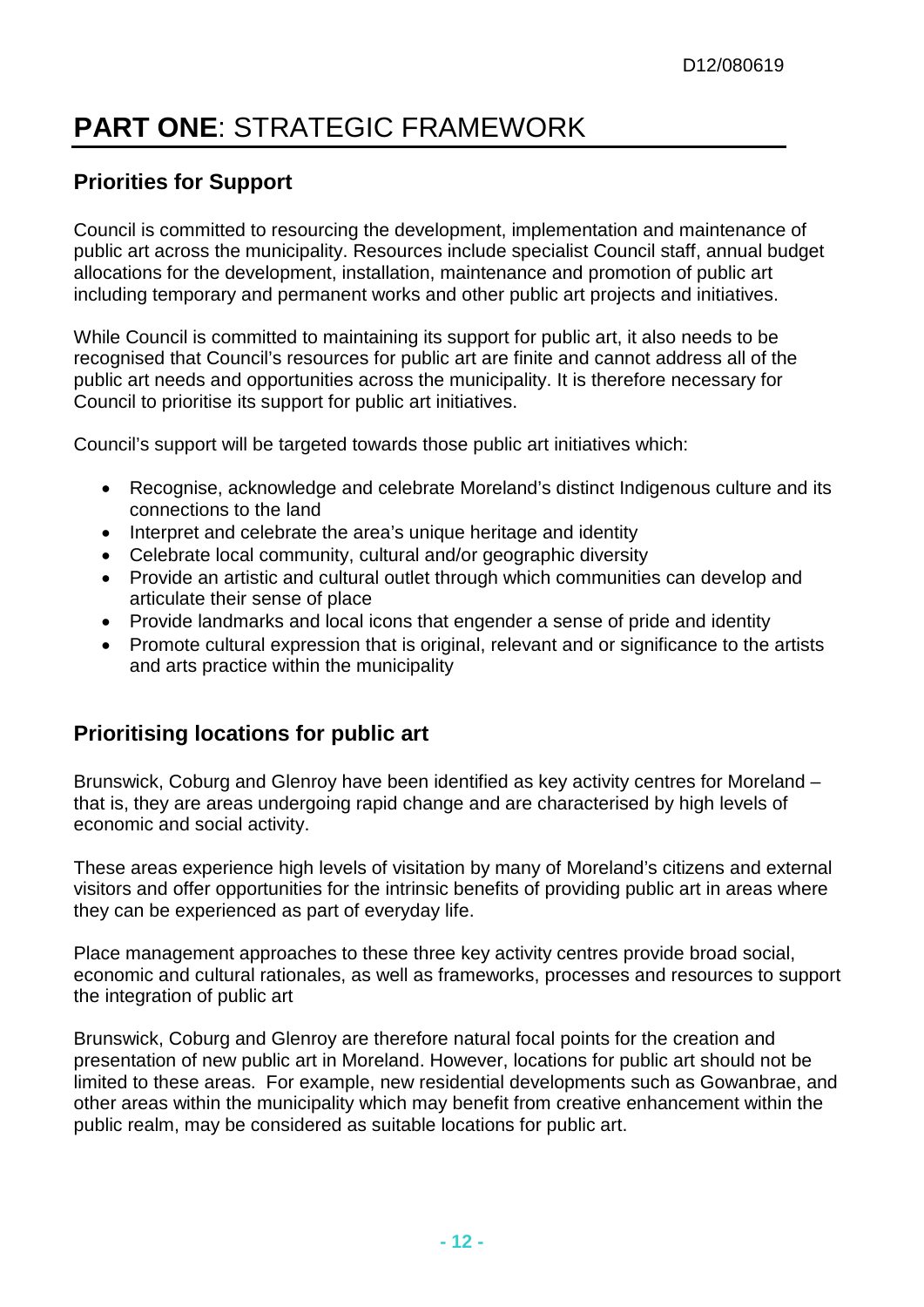#### **Priorities for Support**

Council is committed to resourcing the development, implementation and maintenance of public art across the municipality. Resources include specialist Council staff, annual budge allocations for the development, installation, maintenance and promotion of public art including temporary and permanent works and other public art projects and initiatives.

While Council is committed to maintaining its support for public art, it also needs to be recognised that Council's resources for public art are finite and cannot address all of the public art needs and opportunities across the municipality. It is therefore necessary for Council to prioritise its support for public art initiatives.

Council's support will be targeted towards those public art initiatives which:

- Recognise, acknowledge and celebrate Moreland's distinct Indigenous culture and i connections to the land
- Interpret and celebrate the area's unique heritage and identity
- Celebrate local community, cultural and/or geographic diversity
- Provide an artistic and cultural outlet through which communities can develop and articulate their sense of place
- Provide landmarks and local icons that engender a sense of pride and identity
- Promote cultural expression that is original, relevant and or significance to the artists and arts practice within the municipality

#### **Prioritising locations for public art**

Brunswick, Coburg and Glenroy have been identified as key activity centres for Moreland – that is, they are areas undergoing rapid change and are characterised by high levels of economic and social activity.

These areas experience high levels of visitation by many of Moreland's citizens and extern visitors and offer opportunities for the intrinsic benefits of providing public art in areas where they can be experienced as part of everyday life.

Place management approaches to these three key activity centres provide broad social, economic and cultural rationales, as well as frameworks, processes and resources to supp the integration of public art

Brunswick, Coburg and Glenroy are therefore natural focal points for the creation and presentation of new public art in Moreland. However, locations for public art should not be limited to these areas. For example, new residential developments such as Gowanbrae, a other areas within the municipality which may benefit from creative enhancement within the public realm, may be considered as suitable locations for public art.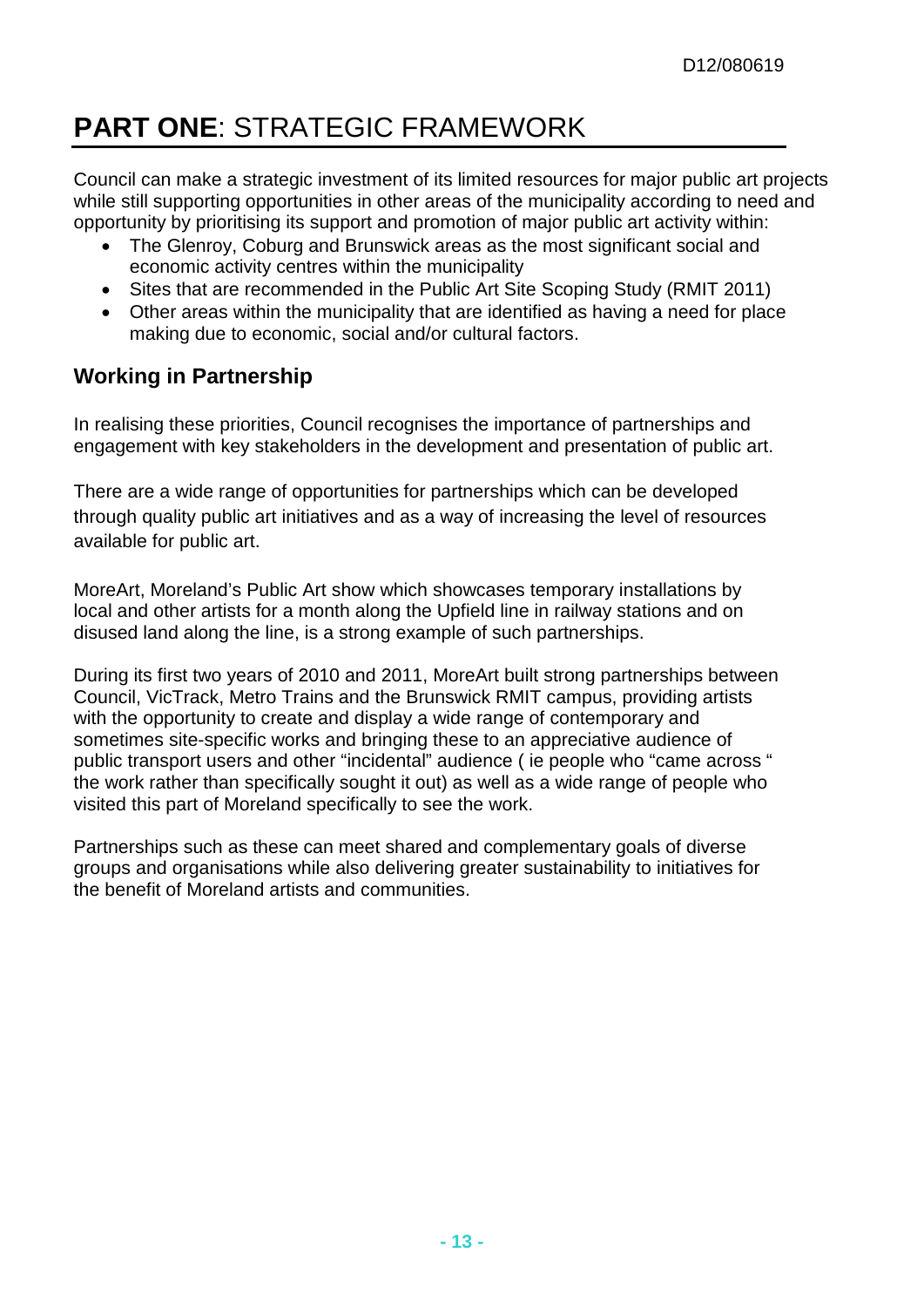Council can make a strategic investment of its limited resources for major public art project while still supporting opportunities in other areas of the municipality according to need and opportunity by prioritising its support and promotion of major public art activity within:

- The Glenroy, Coburg and Brunswick areas as the most significant social and economic activity centres within the municipality
- Sites that are recommended in the Public Art Site Scoping Study (RMIT 2011)
- Other areas within the municipality that are identified as having a need for place making due to economic, social and/or cultural factors.

#### **Working in Partnership**

In realising these priorities, Council recognises the importance of partnerships and engagement with key stakeholders in the development and presentation of public art.

There are a wide range of opportunities for partnerships which can be developed through quality public art initiatives and as a way of increasing the level of resources available for public art.

MoreArt, Moreland's Public Art show which showcases temporary installations by local and other artists for a month along the Upfield line in railway stations and on disused land along the line, is a strong example of such partnerships.

During its first two years of 2010 and 2011, MoreArt built strong partnerships between Council, VicTrack, Metro Trains and the Brunswick RMIT campus, providing artists with the opportunity to create and display a wide range of contemporary and sometimes site-specific works and bringing these to an appreciative audience of public transport users and other "incidental" audience ( ie people who "came across " the work rather than specifically sought it out) as well as a wide range of people who visited this part of Moreland specifically to see the work.

Partnerships such as these can meet shared and complementary goals of diverse groups and organisations while also delivering greater sustainability to initiatives for the benefit of Moreland artists and communities.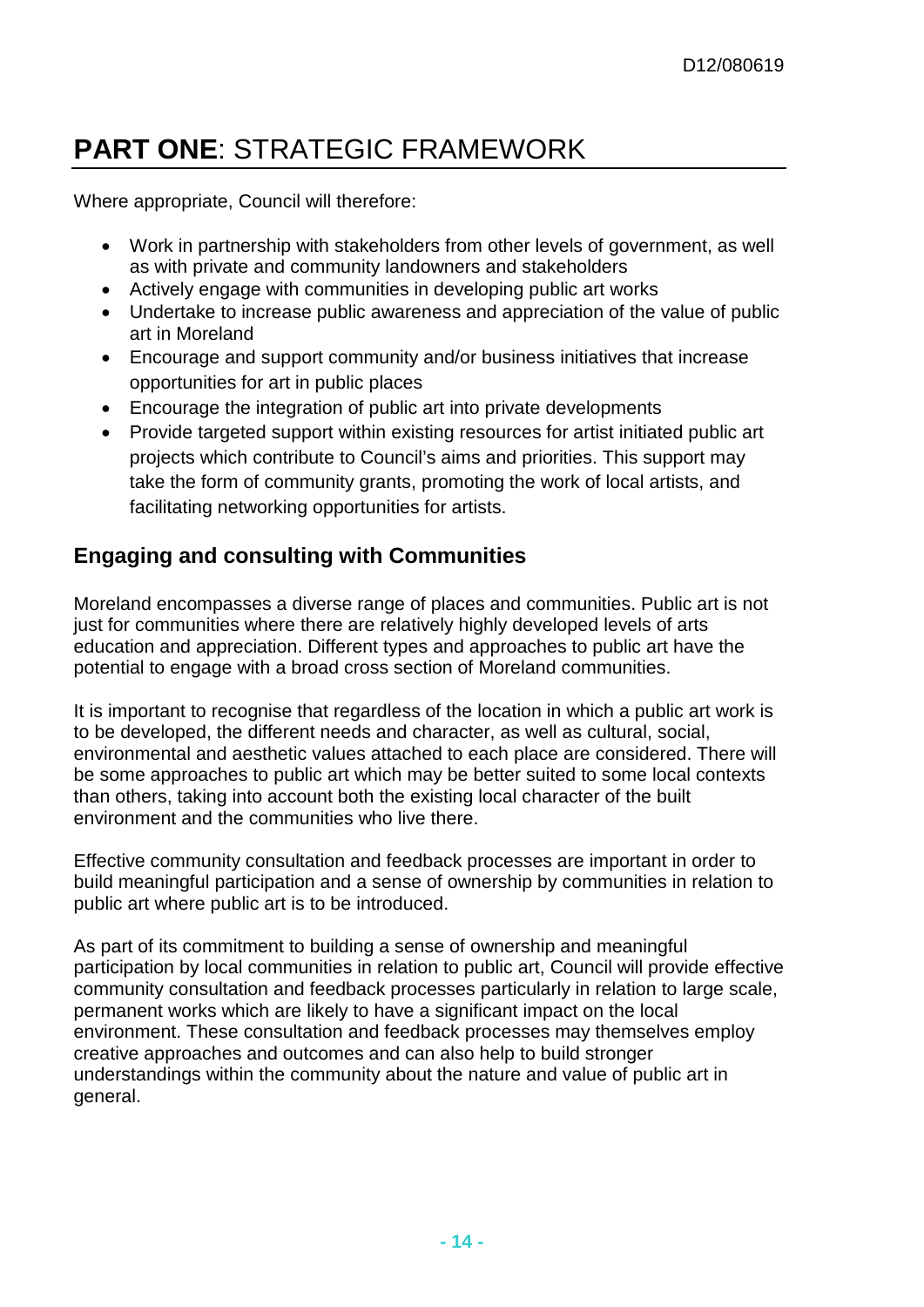Where appropriate, Council will therefore:

- Work in partnership with stakeholders from other levels of government, as well as with private and community landowners and stakeholders
- Actively engage with communities in developing public art works
- Undertake to increase public awareness and appreciation of the value of public art in Moreland
- Encourage and support community and/or business initiatives that increase opportunities for art in public places
- Encourage the integration of public art into private developments
- Provide targeted support within existing resources for artist initiated public art projects which contribute to Council's aims and priorities. This support may take the form of community grants, promoting the work of local artists, and facilitating networking opportunities for artists.

#### **Engaging and consulting with Communities**

Moreland encompasses a diverse range of places and communities. Public art is not just for communities where there are relatively highly developed levels of arts education and appreciation. Different types and approaches to public art have the potential to engage with a broad cross section of Moreland communities.

It is important to recognise that regardless of the location in which a public art work is to be developed, the different needs and character, as well as cultural, social, environmental and aesthetic values attached to each place are considered. There will be some approaches to public art which may be better suited to some local contexts than others, taking into account both the existing local character of the built environment and the communities who live there.

Effective community consultation and feedback processes are important in order to build meaningful participation and a sense of ownership by communities in relation to public art where public art is to be introduced.

As part of its commitment to building a sense of ownership and meaningful participation by local communities in relation to public art, Council will provide effective community consultation and feedback processes particularly in relation to large scale, permanent works which are likely to have a significant impact on the local environment. These consultation and feedback processes may themselves employ creative approaches and outcomes and can also help to build stronger understandings within the community about the nature and value of public art in general.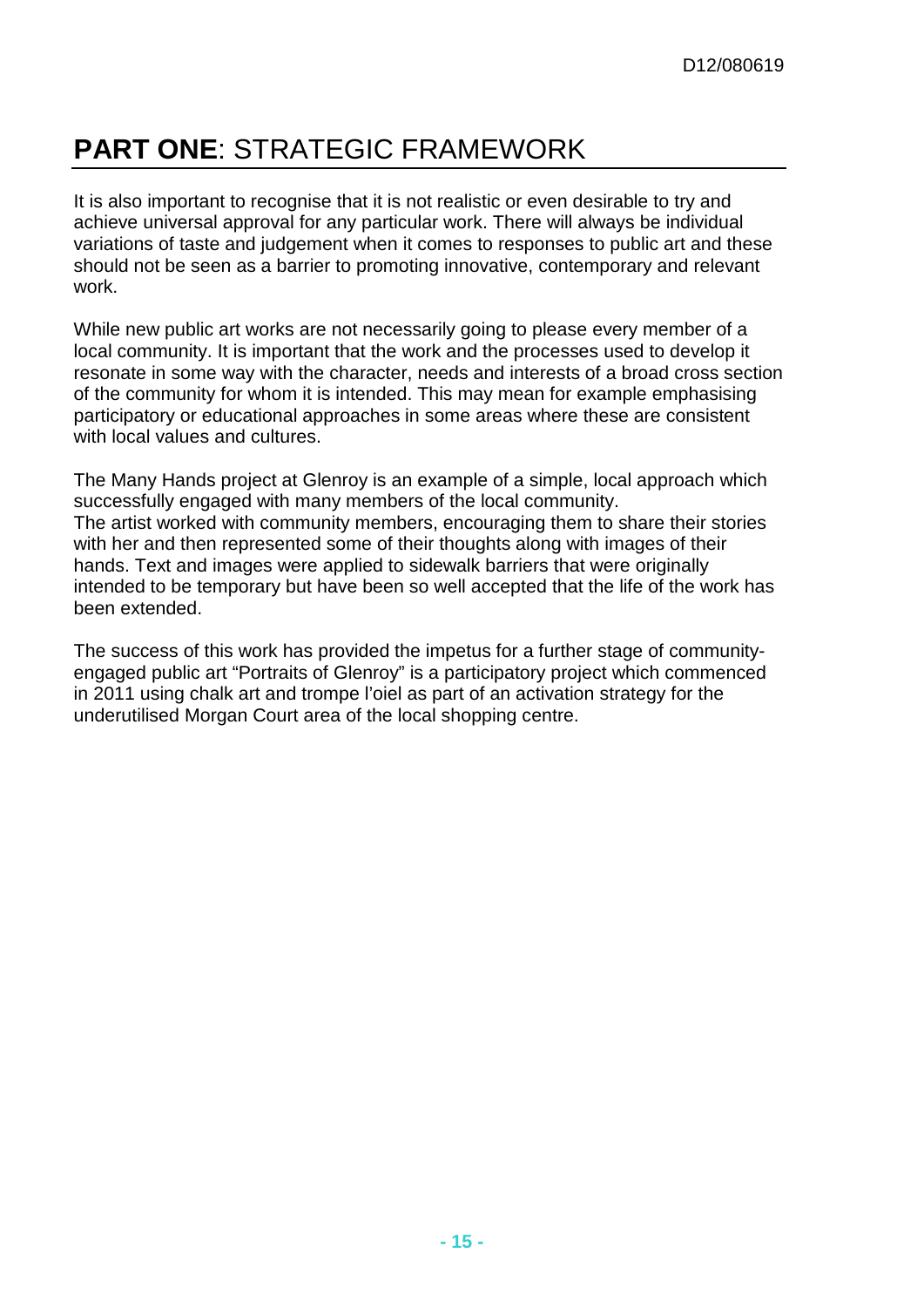It is also important to recognise that it is not realistic or even desirable to try and achieve universal approval for any particular work. There will always be individual variations of taste and judgement when it comes to responses to public art and these should not be seen as a barrier to promoting innovative, contemporary and relevant work.

While new public art works are not necessarily going to please every member of a local community. It is important that the work and the processes used to develop it resonate in some way with the character, needs and interests of a broad cross section of the community for whom it is intended. This may mean for example emphasising participatory or educational approaches in some areas where these are consistent with local values and cultures.

The Many Hands project at Glenroy is an example of a simple, local approach which successfully engaged with many members of the local community. The artist worked with community members, encouraging them to share their stories with her and then represented some of their thoughts along with images of their hands. Text and images were applied to sidewalk barriers that were originally intended to be temporary but have been so well accepted that the life of the work has been extended.

The success of this work has provided the impetus for a further stage of communityengaged public art "Portraits of Glenroy" is a participatory project which commenced in 2011 using chalk art and trompe l'oiel as part of an activation strategy for the underutilised Morgan Court area of the local shopping centre.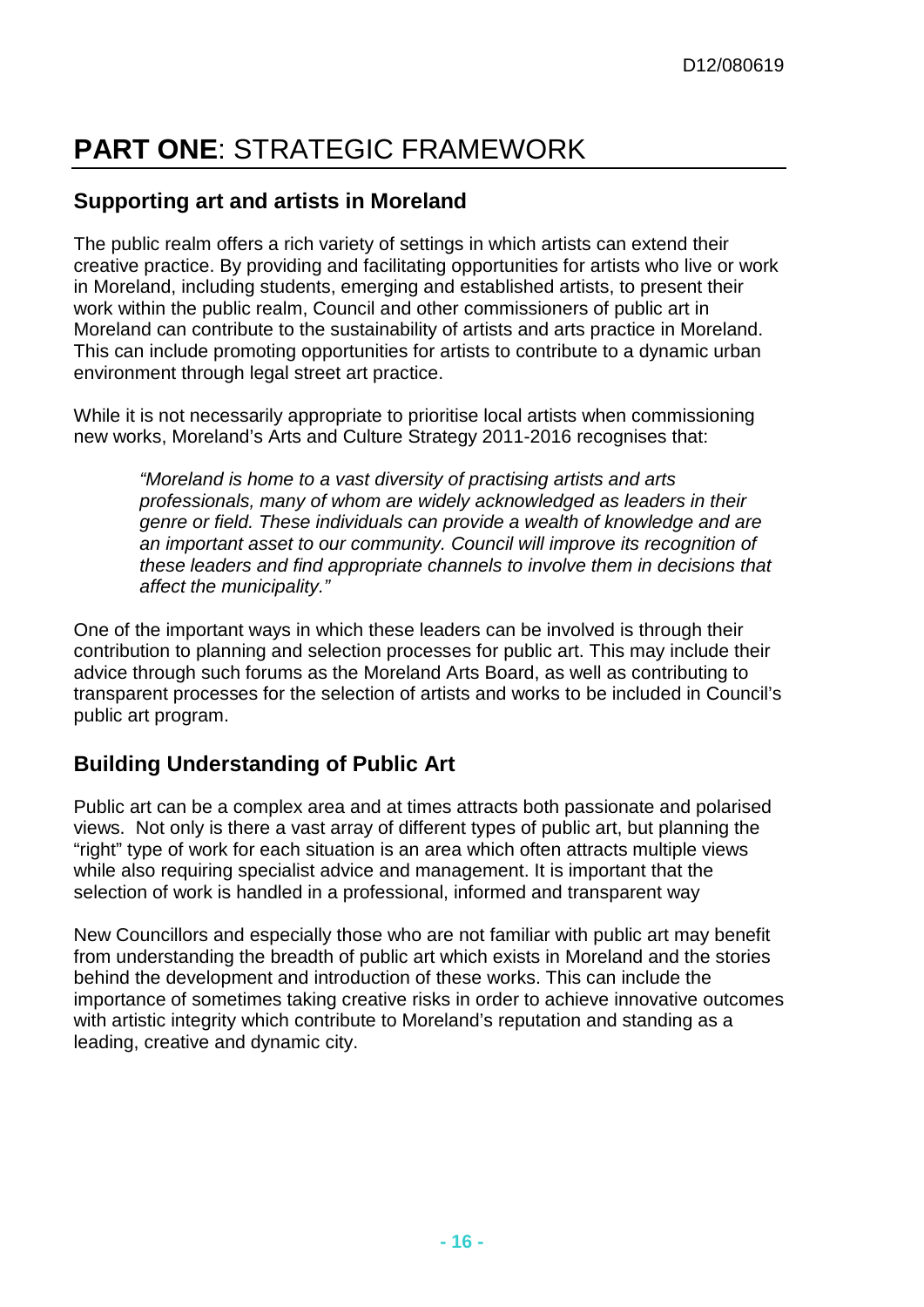#### **Supporting art and artists in Moreland**

The public realm offers a rich variety of settings in which artists can extend their creative practice. By providing and facilitating opportunities for artists who live or work in Moreland, including students, emerging and established artists, to present their work within the public realm, Council and other commissioners of public art in Moreland can contribute to the sustainability of artists and arts practice in Moreland. This can include promoting opportunities for artists to contribute to a dynamic urban environment through legal street art practice.

While it is not necessarily appropriate to prioritise local artists when commissioning new works, Moreland's Arts and Culture Strategy 2011-2016 recognises that:

*"Moreland is home to a vast diversity of practising artists and arts professionals, many of whom are widely acknowledged as leaders in their genre or field. These individuals can provide a wealth of knowledge and are an important asset to our community. Council will improve its recognition of these leaders and find appropriate channels to involve them in decisions that affect the municipality."*

One of the important ways in which these leaders can be involved is through their contribution to planning and selection processes for public art. This may include their advice through such forums as the Moreland Arts Board, as well as contributing to transparent processes for the selection of artists and works to be included in Council's public art program.

### **Building Understanding of Public Art**

Public art can be a complex area and at times attracts both passionate and polarised views. Not only is there a vast array of different types of public art, but planning the "right" type of work for each situation is an area which often attracts multiple views while also requiring specialist advice and management. It is important that the selection of work is handled in a professional, informed and transparent way

New Councillors and especially those who are not familiar with public art may benefit from understanding the breadth of public art which exists in Moreland and the stories behind the development and introduction of these works. This can include the importance of sometimes taking creative risks in order to achieve innovative outcomes with artistic integrity which contribute to Moreland's reputation and standing as a leading, creative and dynamic city.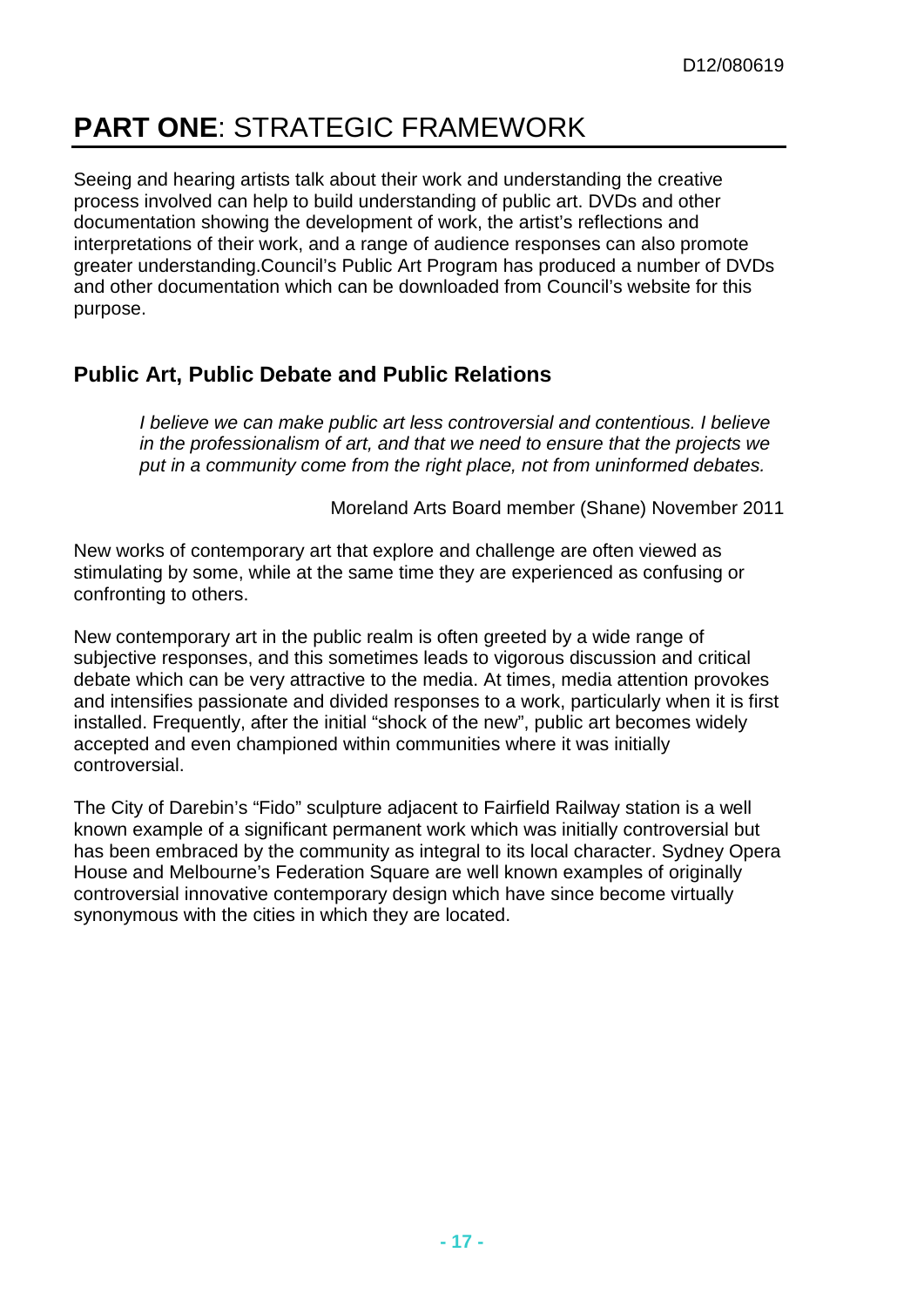Seeing and hearing artists talk about their work and understanding the creative process involved can help to build understanding of public art. DVDs and other documentation showing the development of work, the artist's reflections and interpretations of their work, and a range of audience responses can also promote greater understanding.Council's Public Art Program has produced a number of DVDs and other documentation which can be downloaded from Council's website for this purpose.

#### **Public Art, Public Debate and Public Relations**

*I believe we can make public art less controversial and contentious. I believe in the professionalism of art, and that we need to ensure that the projects we put in a community come from the right place, not from uninformed debates.* 

Moreland Arts Board member (Shane) November 2011

New works of contemporary art that explore and challenge are often viewed as stimulating by some, while at the same time they are experienced as confusing or confronting to others.

New contemporary art in the public realm is often greeted by a wide range of subjective responses, and this sometimes leads to vigorous discussion and critical debate which can be very attractive to the media. At times, media attention provokes and intensifies passionate and divided responses to a work, particularly when it is first installed. Frequently, after the initial "shock of the new", public art becomes widely accepted and even championed within communities where it was initially controversial.

The City of Darebin's "Fido" sculpture adjacent to Fairfield Railway station is a well known example of a significant permanent work which was initially controversial but has been embraced by the community as integral to its local character. Sydney Opera House and Melbourne's Federation Square are well known examples of originally controversial innovative contemporary design which have since become virtually synonymous with the cities in which they are located.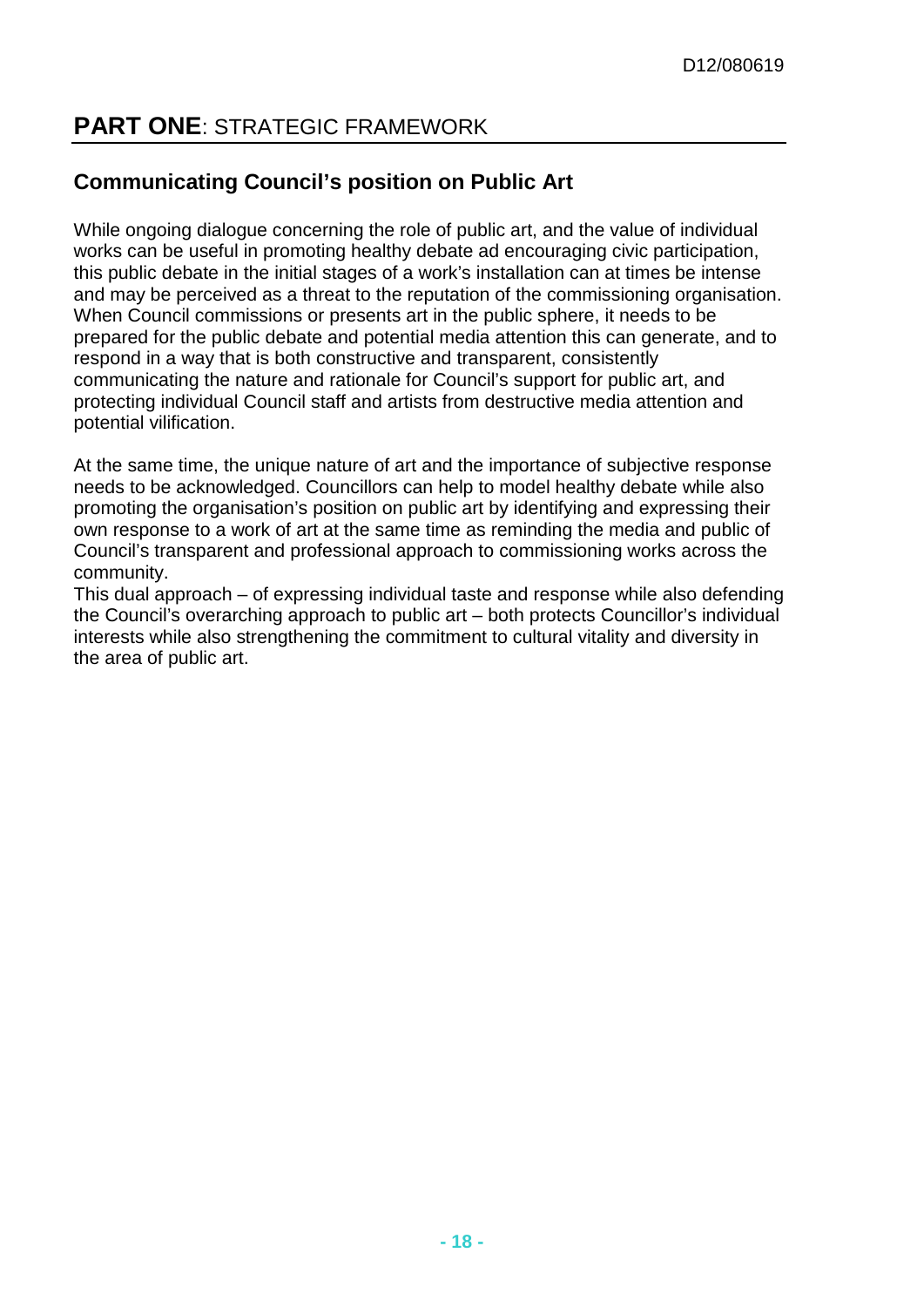### **Communicating Council's position on Public Art**

While ongoing dialogue concerning the role of public art, and the value of individual works can be useful in promoting healthy debate ad encouraging civic participation, this public debate in the initial stages of a work's installation can at times be intense and may be perceived as a threat to the reputation of the commissioning organisation. When Council commissions or presents art in the public sphere, it needs to be prepared for the public debate and potential media attention this can generate, and to respond in a way that is both constructive and transparent, consistently communicating the nature and rationale for Council's support for public art, and protecting individual Council staff and artists from destructive media attention and potential vilification.

At the same time, the unique nature of art and the importance of subjective response needs to be acknowledged. Councillors can help to model healthy debate while also promoting the organisation's position on public art by identifying and expressing their own response to a work of art at the same time as reminding the media and public of Council's transparent and professional approach to commissioning works across the community.

This dual approach – of expressing individual taste and response while also defending the Council's overarching approach to public art – both protects Councillor's individual interests while also strengthening the commitment to cultural vitality and diversity in the area of public art.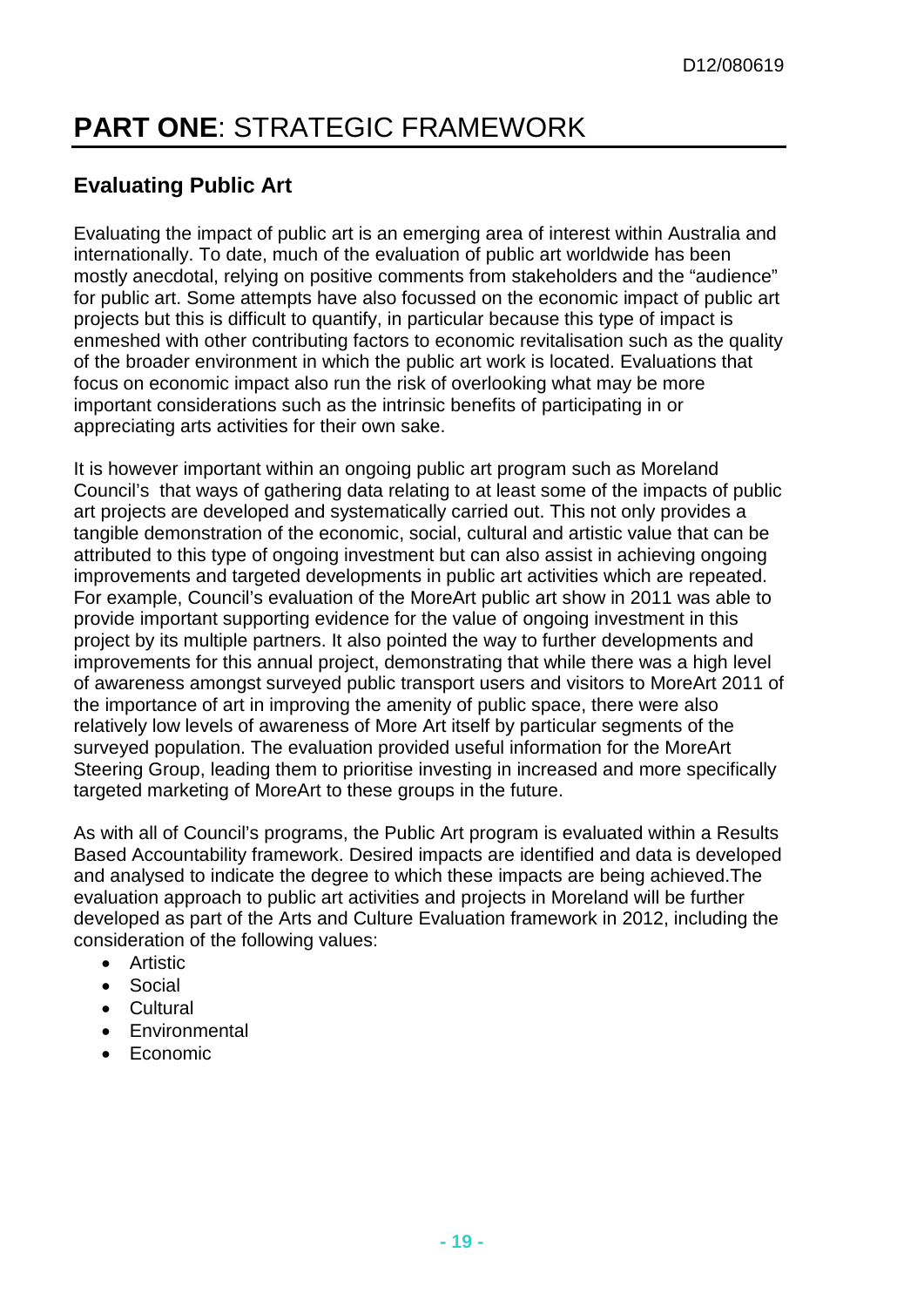#### **Evaluating Public Art**

Evaluating the impact of public art is an emerging area of interest within Australia and internationally. To date, much of the evaluation of public art worldwide has been mostly anecdotal, relying on positive comments from stakeholders and the "audience" for public art. Some attempts have also focussed on the economic impact of public art projects but this is difficult to quantify, in particular because this type of impact is enmeshed with other contributing factors to economic revitalisation such as the quality of the broader environment in which the public art work is located. Evaluations that focus on economic impact also run the risk of overlooking what may be more important considerations such as the intrinsic benefits of participating in or appreciating arts activities for their own sake.

It is however important within an ongoing public art program such as Moreland Council's that ways of gathering data relating to at least some of the impacts of public art projects are developed and systematically carried out. This not only provides a tangible demonstration of the economic, social, cultural and artistic value that can be attributed to this type of ongoing investment but can also assist in achieving ongoing improvements and targeted developments in public art activities which are repeated. For example, Council's evaluation of the MoreArt public art show in 2011 was able to provide important supporting evidence for the value of ongoing investment in this project by its multiple partners. It also pointed the way to further developments and improvements for this annual project, demonstrating that while there was a high level of awareness amongst surveyed public transport users and visitors to MoreArt 2011 of the importance of art in improving the amenity of public space, there were also relatively low levels of awareness of More Art itself by particular segments of the surveyed population. The evaluation provided useful information for the MoreArt Steering Group, leading them to prioritise investing in increased and more specifically targeted marketing of MoreArt to these groups in the future.

As with all of Council's programs, the Public Art program is evaluated within a Results Based Accountability framework. Desired impacts are identified and data is developed and analysed to indicate the degree to which these impacts are being achieved.The evaluation approach to public art activities and projects in Moreland will be further developed as part of the Arts and Culture Evaluation framework in 2012, including the consideration of the following values:

- Artistic
- Social
- Cultural
- Environmental
- Economic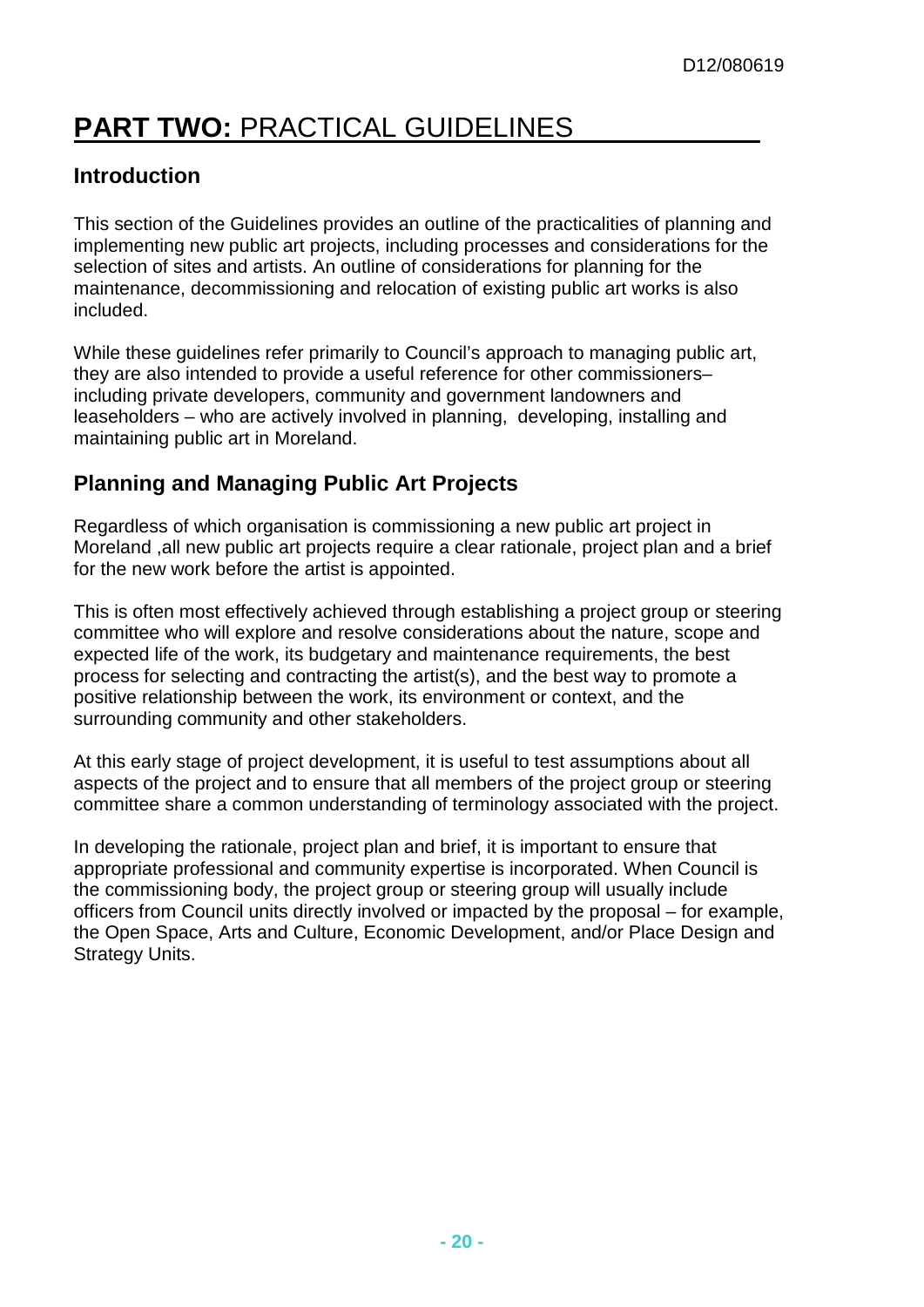#### **Introduction**

This section of the Guidelines provides an outline of the practicalities of planning and implementing new public art projects, including processes and considerations for the selection of sites and artists. An outline of considerations for planning for the maintenance, decommissioning and relocation of existing public art works is also included.

While these guidelines refer primarily to Council's approach to managing public art, they are also intended to provide a useful reference for other commissioners– including private developers, community and government landowners and leaseholders – who are actively involved in planning, developing, installing and maintaining public art in Moreland.

#### **Planning and Managing Public Art Projects**

Regardless of which organisation is commissioning a new public art project in Moreland ,all new public art projects require a clear rationale, project plan and a brief for the new work before the artist is appointed.

This is often most effectively achieved through establishing a project group or steering committee who will explore and resolve considerations about the nature, scope and expected life of the work, its budgetary and maintenance requirements, the best process for selecting and contracting the artist(s), and the best way to promote a positive relationship between the work, its environment or context, and the surrounding community and other stakeholders.

At this early stage of project development, it is useful to test assumptions about all aspects of the project and to ensure that all members of the project group or steering committee share a common understanding of terminology associated with the project.

In developing the rationale, project plan and brief, it is important to ensure that appropriate professional and community expertise is incorporated. When Council is the commissioning body, the project group or steering group will usually include officers from Council units directly involved or impacted by the proposal – for example, the Open Space, Arts and Culture, Economic Development, and/or Place Design and Strategy Units.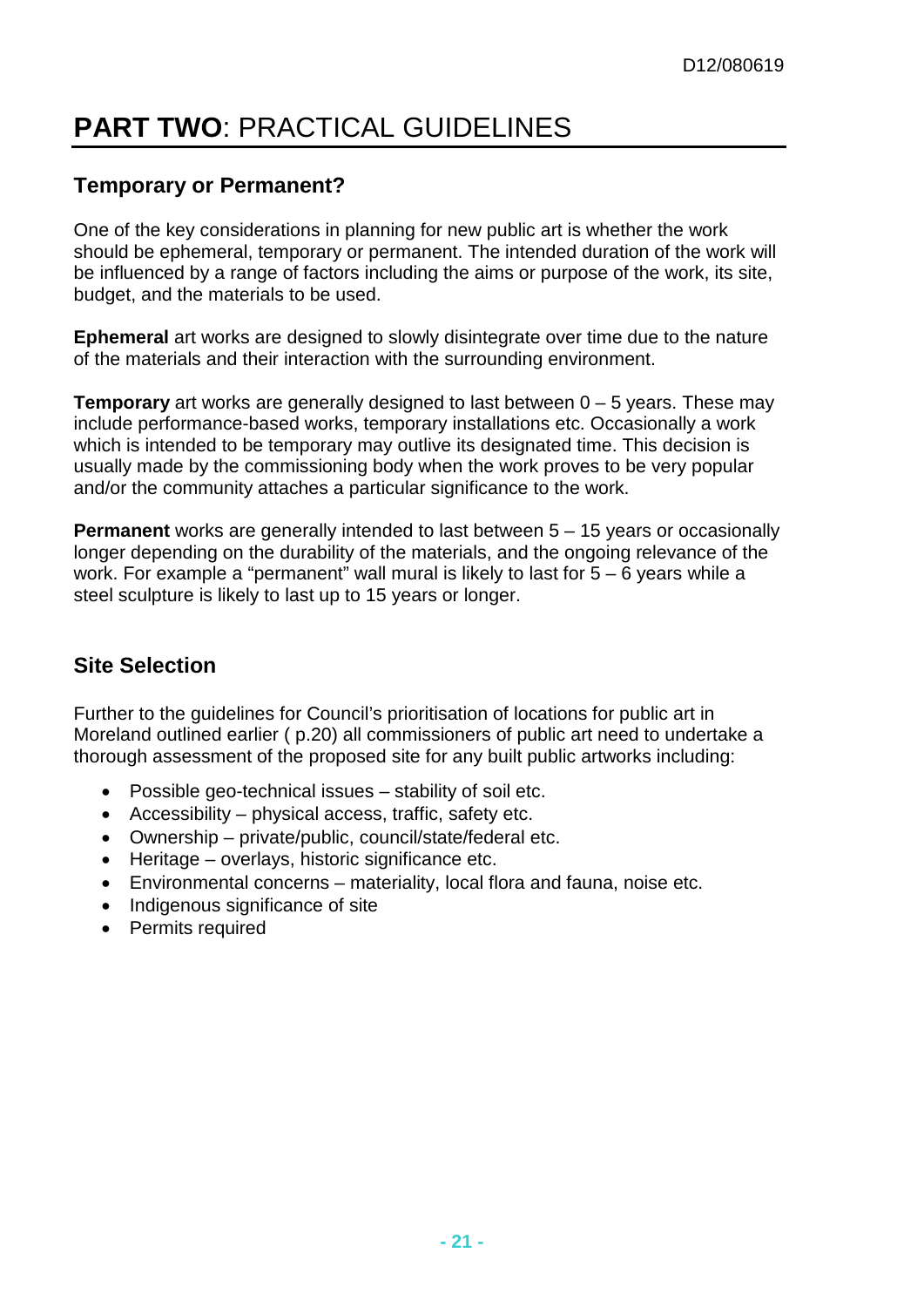#### **Temporary or Permanent?**

One of the key considerations in planning for new public art is whether the work should be ephemeral, temporary or permanent. The intended duration of the work will be influenced by a range of factors including the aims or purpose of the work, its site, budget, and the materials to be used.

**Ephemeral** art works are designed to slowly disintegrate over time due to the nature of the materials and their interaction with the surrounding environment.

**Temporary** art works are generally designed to last between 0 – 5 years. These may include performance-based works, temporary installations etc. Occasionally a work which is intended to be temporary may outlive its designated time. This decision is usually made by the commissioning body when the work proves to be very popular and/or the community attaches a particular significance to the work.

**Permanent** works are generally intended to last between 5 – 15 years or occasionally longer depending on the durability of the materials, and the ongoing relevance of the work. For example a "permanent" wall mural is likely to last for  $5 - 6$  years while a steel sculpture is likely to last up to 15 years or longer.

#### **Site Selection**

Further to the guidelines for Council's prioritisation of locations for public art in Moreland outlined earlier ( p.20) all commissioners of public art need to undertake a thorough assessment of the proposed site for any built public artworks including:

- Possible geo-technical issues stability of soil etc.
- Accessibility physical access, traffic, safety etc.
- Ownership private/public, council/state/federal etc.
- Heritage overlays, historic significance etc.
- Environmental concerns materiality, local flora and fauna, noise etc.
- Indigenous significance of site
- Permits required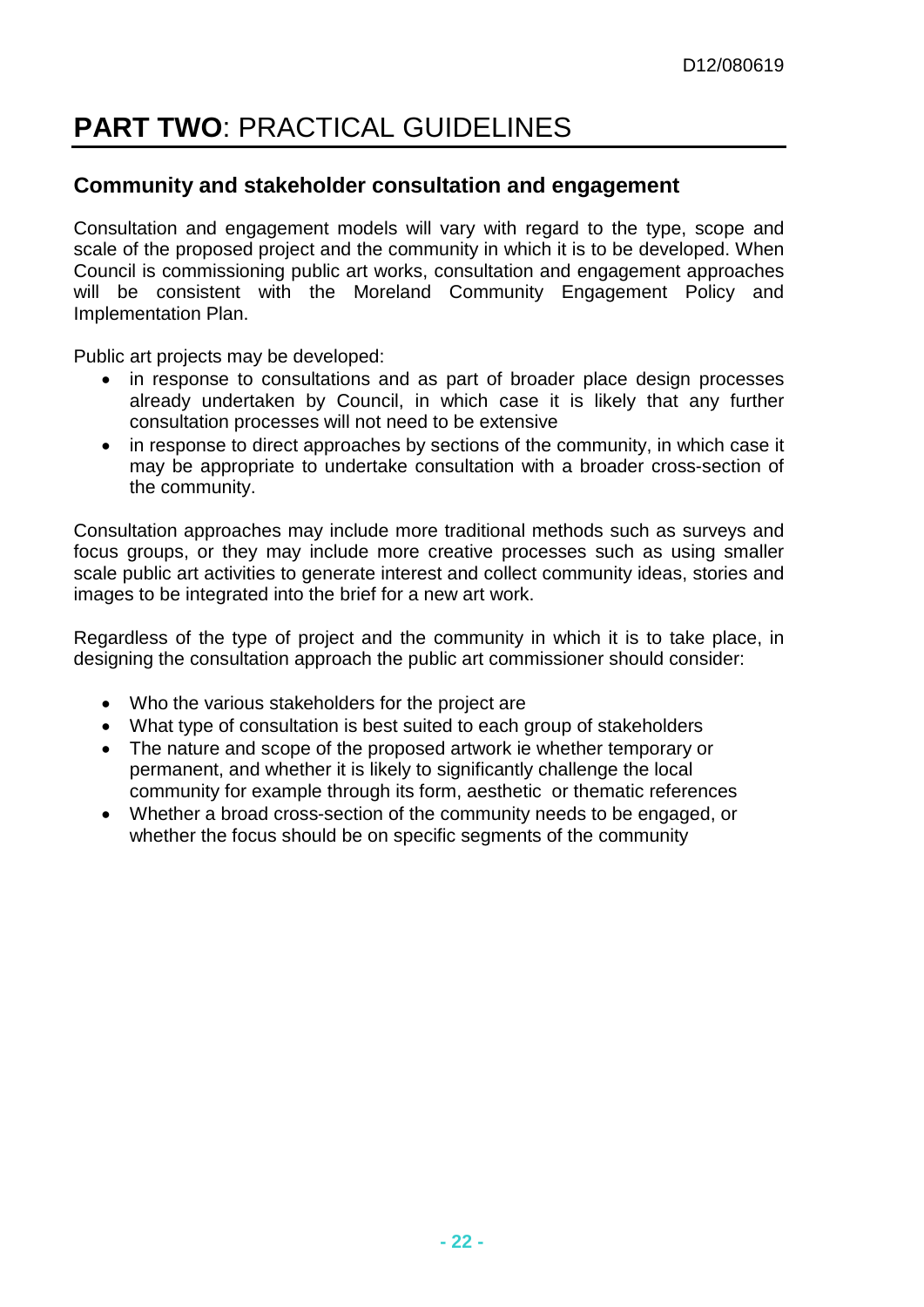#### **Community and stakeholder consultation and engagement**

Consultation and engagement models will vary with regard to the type, scope and scale of the proposed project and the community in which it is to be developed. When Council is commissioning public art works, consultation and engagement approaches will be consistent with the Moreland Community Engagement Policy and Implementation Plan.

Public art projects may be developed:

- in response to consultations and as part of broader place design processes already undertaken by Council, in which case it is likely that any further consultation processes will not need to be extensive
- in response to direct approaches by sections of the community, in which case it may be appropriate to undertake consultation with a broader cross-section of the community.

Consultation approaches may include more traditional methods such as surveys and focus groups, or they may include more creative processes such as using smaller scale public art activities to generate interest and collect community ideas, stories and images to be integrated into the brief for a new art work.

Regardless of the type of project and the community in which it is to take place, in designing the consultation approach the public art commissioner should consider:

- Who the various stakeholders for the project are
- What type of consultation is best suited to each group of stakeholders
- The nature and scope of the proposed artwork ie whether temporary or permanent, and whether it is likely to significantly challenge the local community for example through its form, aesthetic or thematic references
- Whether a broad cross-section of the community needs to be engaged, or whether the focus should be on specific segments of the community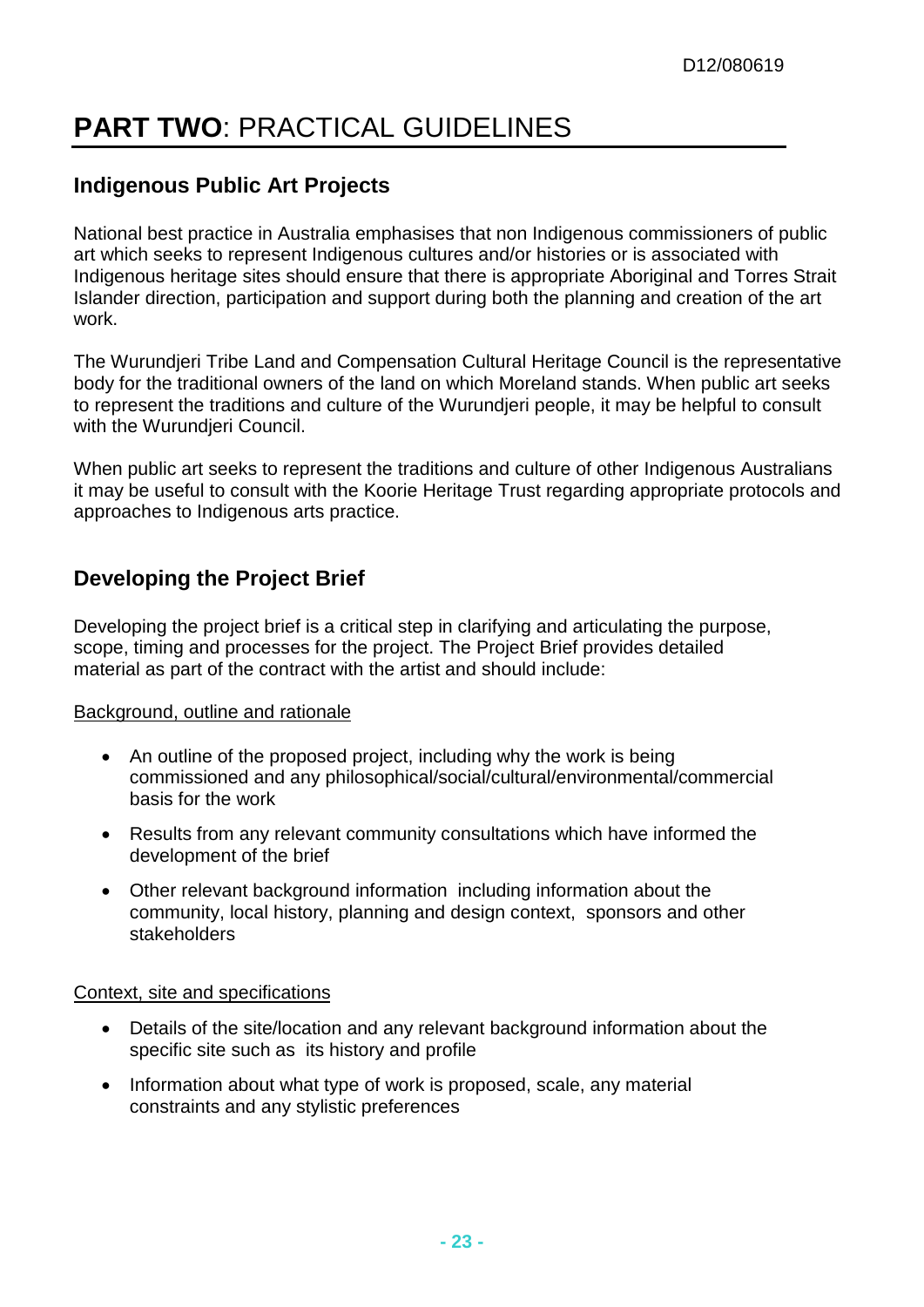#### **Indigenous Public Art Projects**

National best practice in Australia emphasises that non Indigenous commissioners of public art which seeks to represent Indigenous cultures and/or histories or is associated with Indigenous heritage sites should ensure that there is appropriate Aboriginal and Torres Str Islander direction, participation and support during both the planning and creation of the art work.

The Wurundjeri Tribe Land and Compensation Cultural Heritage Council is the representat body for the traditional owners of the land on which Moreland stands. When public art seek to represent the traditions and culture of the Wurundjeri people, it may be helpful to consult with the Wurundjeri Council.

When public art seeks to represent the traditions and culture of other Indigenous Australiar it may be useful to consult with the Koorie Heritage Trust regarding appropriate protocols and approaches to Indigenous arts practice.

#### **Developing the Project Brief**

Developing the project brief is a critical step in clarifying and articulating the purpose, scope, timing and processes for the project. The Project Brief provides detailed material as part of the contract with the artist and should include:

#### Background, outline and rationale

- An outline of the proposed project, including why the work is being commissioned and any philosophical/social/cultural/environmental/commercial basis for the work
- Results from any relevant community consultations which have informed the development of the brief
- Other relevant background information including information about the community, local history, planning and design context, sponsors and other stakeholders

#### Context, site and specifications

- Details of the site/location and any relevant background information about the specific site such as its history and profile
- Information about what type of work is proposed, scale, any material constraints and any stylistic preferences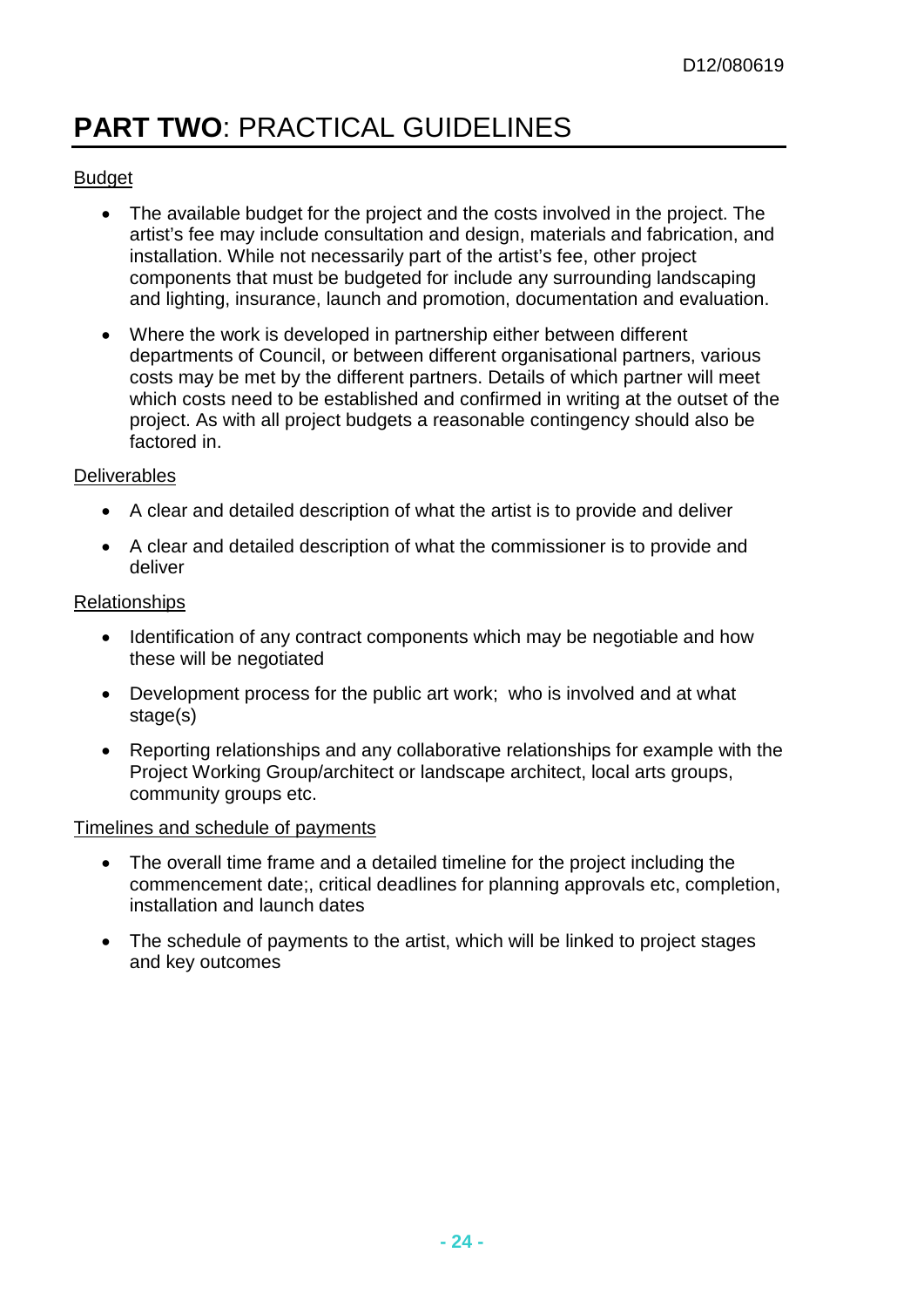#### Budget

- The available budget for the project and the costs involved in the project. The artist's fee may include consultation and design, materials and fabrication, and installation. While not necessarily part of the artist's fee, other project components that must be budgeted for include any surrounding landscaping and lighting, insurance, launch and promotion, documentation and evaluation.
- Where the work is developed in partnership either between different departments of Council, or between different organisational partners, various costs may be met by the different partners. Details of which partner will meet which costs need to be established and confirmed in writing at the outset of the project. As with all project budgets a reasonable contingency should also be factored in.

#### **Deliverables**

- A clear and detailed description of what the artist is to provide and deliver
- A clear and detailed description of what the commissioner is to provide and deliver

#### Relationships

- Identification of any contract components which may be negotiable and how these will be negotiated
- Development process for the public art work; who is involved and at what stage(s)
- Reporting relationships and any collaborative relationships for example with the Project Working Group/architect or landscape architect, local arts groups, community groups etc.

#### Timelines and schedule of payments

- The overall time frame and a detailed timeline for the project including the commencement date;, critical deadlines for planning approvals etc, completion, installation and launch dates
- The schedule of payments to the artist, which will be linked to project stages and key outcomes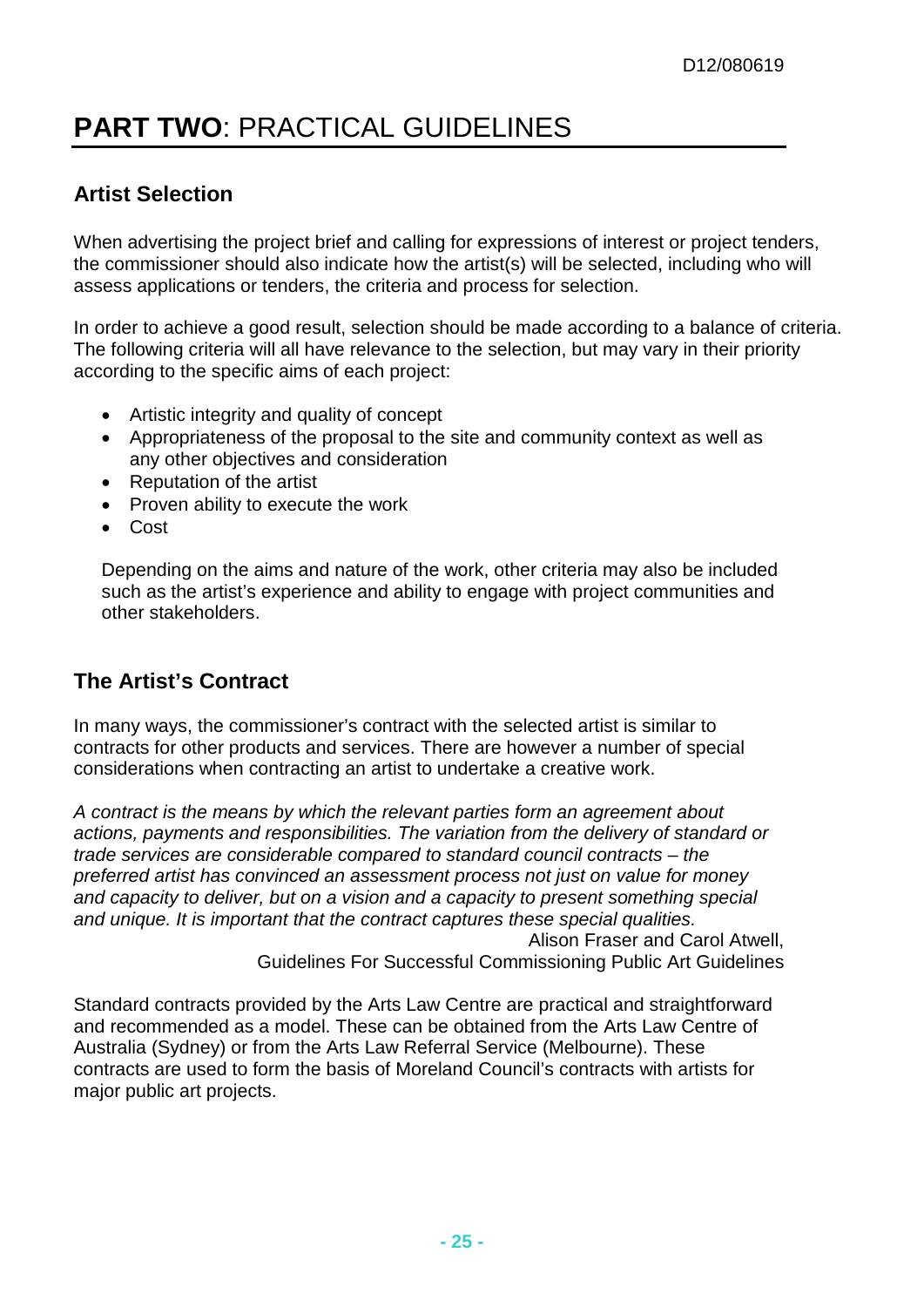#### **Artist Selection**

When advertising the project brief and calling for expressions of interest or project tenders, the commissioner should also indicate how the artist(s) will be selected, including who will assess applications or tenders, the criteria and process for selection.

In order to achieve a good result, selection should be made according to a balance of crite The following criteria will all have relevance to the selection, but may vary in their priority according to the specific aims of each project:

- Artistic integrity and quality of concept
- Appropriateness of the proposal to the site and community context as well as any other objectives and consideration
- Reputation of the artist
- Proven ability to execute the work
- Cost

Depending on the aims and nature of the work, other criteria may also be included such as the artist's experience and ability to engage with project communities and other stakeholders.

### **The Artist's Contract**

In many ways, the commissioner's contract with the selected artist is similar to contracts for other products and services. There are however a number of special considerations when contracting an artist to undertake a creative work.

*A contract is the means by which the relevant parties form an agreement about actions, payments and responsibilities. The variation from the delivery of standard or trade services are considerable compared to standard council contracts – the preferred artist has convinced an assessment process not just on value for money and capacity to deliver, but on a vision and a capacity to present something special and unique. It is important that the contract captures these special qualities.* 

> Alison Fraser and Carol Atwell, Guidelines For Successful Commissioning Public Art Guidelines

Standard contracts provided by the Arts Law Centre are practical and straightforward and recommended as a model. These can be obtained from the Arts Law Centre of Australia (Sydney) or from the Arts Law Referral Service (Melbourne). These contracts are used to form the basis of Moreland Council's contracts with artists for major public art projects.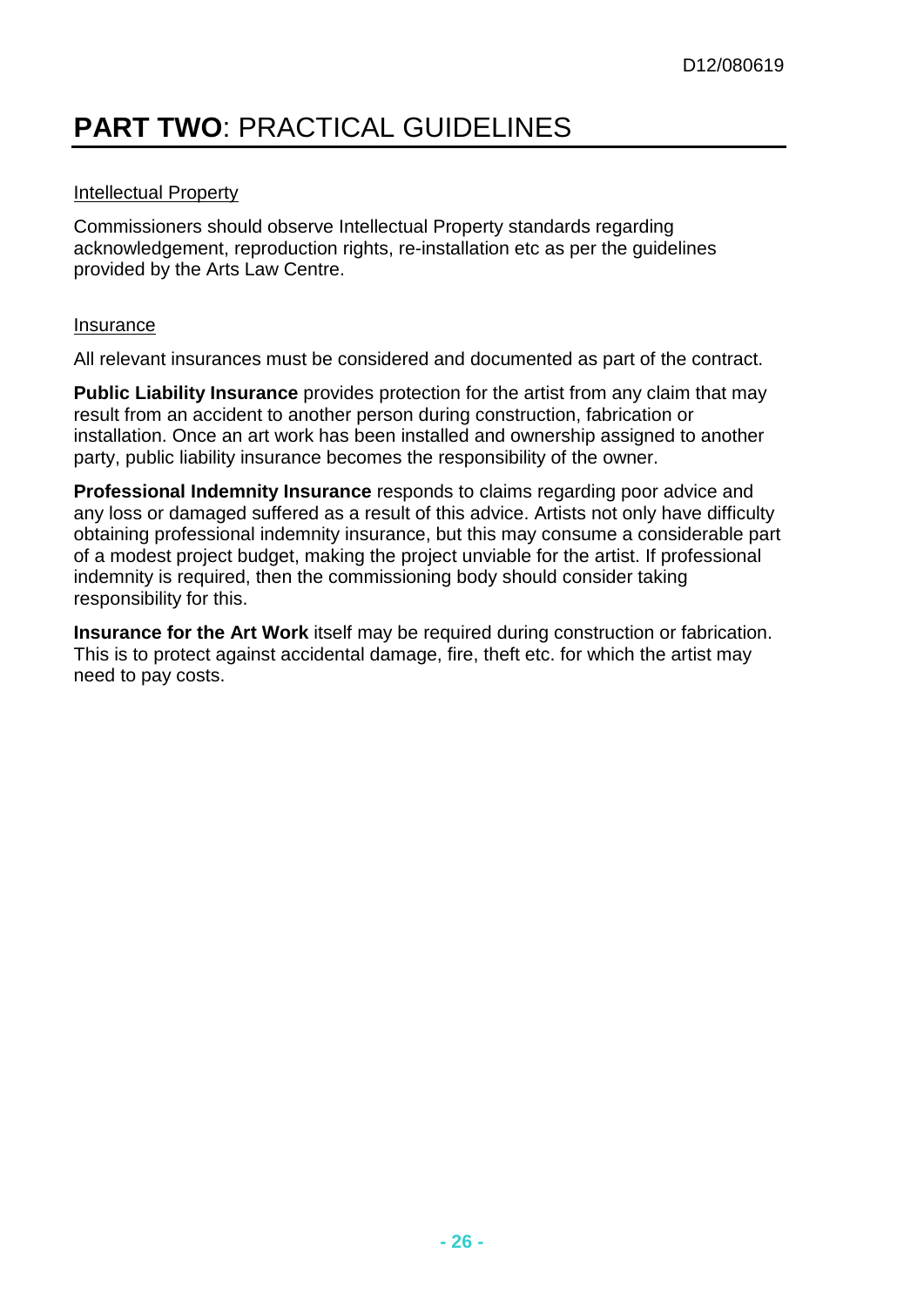#### Intellectual Property

Commissioners should observe Intellectual Property standards regarding acknowledgement, reproduction rights, re-installation etc as per the guidelines provided by the Arts Law Centre.

#### **Insurance**

All relevant insurances must be considered and documented as part of the contract.

**Public Liability Insurance** provides protection for the artist from any claim that may result from an accident to another person during construction, fabrication or installation. Once an art work has been installed and ownership assigned to another party, public liability insurance becomes the responsibility of the owner.

**Professional Indemnity Insurance** responds to claims regarding poor advice and any loss or damaged suffered as a result of this advice. Artists not only have difficulty obtaining professional indemnity insurance, but this may consume a considerable part of a modest project budget, making the project unviable for the artist. If professional indemnity is required, then the commissioning body should consider taking responsibility for this.

**Insurance for the Art Work** itself may be required during construction or fabrication. This is to protect against accidental damage, fire, theft etc. for which the artist may need to pay costs.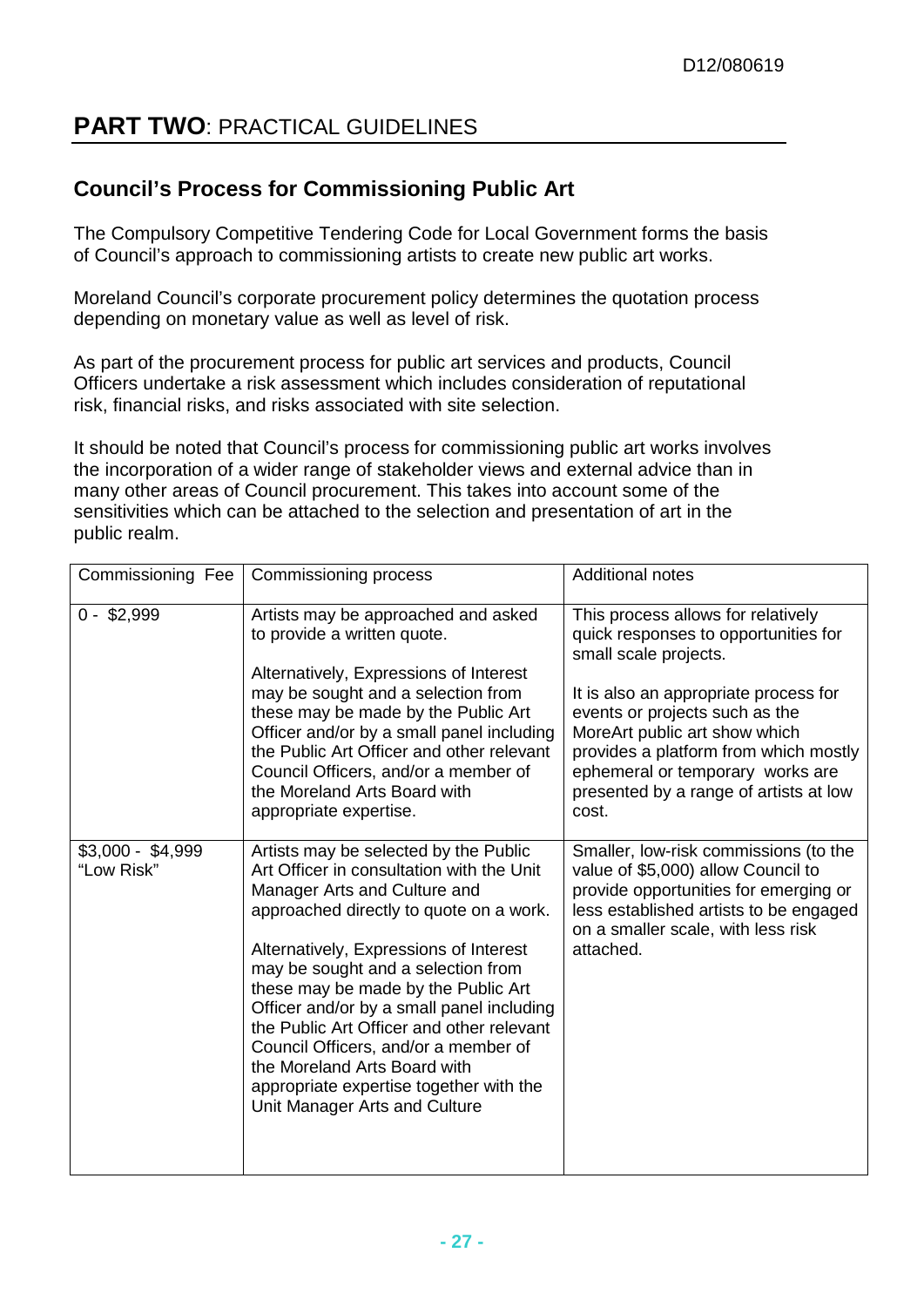### **Council's Process for Commissioning Public Art**

The Compulsory Competitive Tendering Code for Local Government forms the basis of Council's approach to commissioning artists to create new public art works.

Moreland Council's corporate procurement policy determines the quotation process depending on monetary value as well as level of risk.

As part of the procurement process for public art services and products, Council Officers undertake a risk assessment which includes consideration of reputational risk, financial risks, and risks associated with site selection.

It should be noted that Council's process for commissioning public art works involves the incorporation of a wider range of stakeholder views and external advice than in many other areas of Council procurement. This takes into account some of the sensitivities which can be attached to the selection and presentation of art in the public realm.

| Commissioning Fee               | Commissioning process                                                                                                                                                                                                                                                                                                                                                                                                                                                                                                              | <b>Additional notes</b>                                                                                                                                                                                                                                                                                                     |
|---------------------------------|------------------------------------------------------------------------------------------------------------------------------------------------------------------------------------------------------------------------------------------------------------------------------------------------------------------------------------------------------------------------------------------------------------------------------------------------------------------------------------------------------------------------------------|-----------------------------------------------------------------------------------------------------------------------------------------------------------------------------------------------------------------------------------------------------------------------------------------------------------------------------|
| $0 - $2,999$                    | Artists may be approached and asked<br>to provide a written quote.<br>Alternatively, Expressions of Interest<br>may be sought and a selection from<br>these may be made by the Public Art<br>Officer and/or by a small panel including<br>the Public Art Officer and other relevant<br>Council Officers, and/or a member of<br>the Moreland Arts Board with<br>appropriate expertise.                                                                                                                                              | This process allows for relatively<br>quick responses to opportunities<br>small scale projects.<br>It is also an appropriate process<br>events or projects such as the<br>MoreArt public art show which<br>provides a platform from which m<br>ephemeral or temporary works a<br>presented by a range of artists a<br>cost. |
| \$3,000 - \$4,999<br>"Low Risk" | Artists may be selected by the Public<br>Art Officer in consultation with the Unit<br>Manager Arts and Culture and<br>approached directly to quote on a work.<br>Alternatively, Expressions of Interest<br>may be sought and a selection from<br>these may be made by the Public Art<br>Officer and/or by a small panel including<br>the Public Art Officer and other relevant<br>Council Officers, and/or a member of<br>the Moreland Arts Board with<br>appropriate expertise together with the<br>Unit Manager Arts and Culture | Smaller, low-risk commissions (to<br>value of \$5,000) allow Council to<br>provide opportunities for emergin<br>less established artists to be eng<br>on a smaller scale, with less risk<br>attached.                                                                                                                       |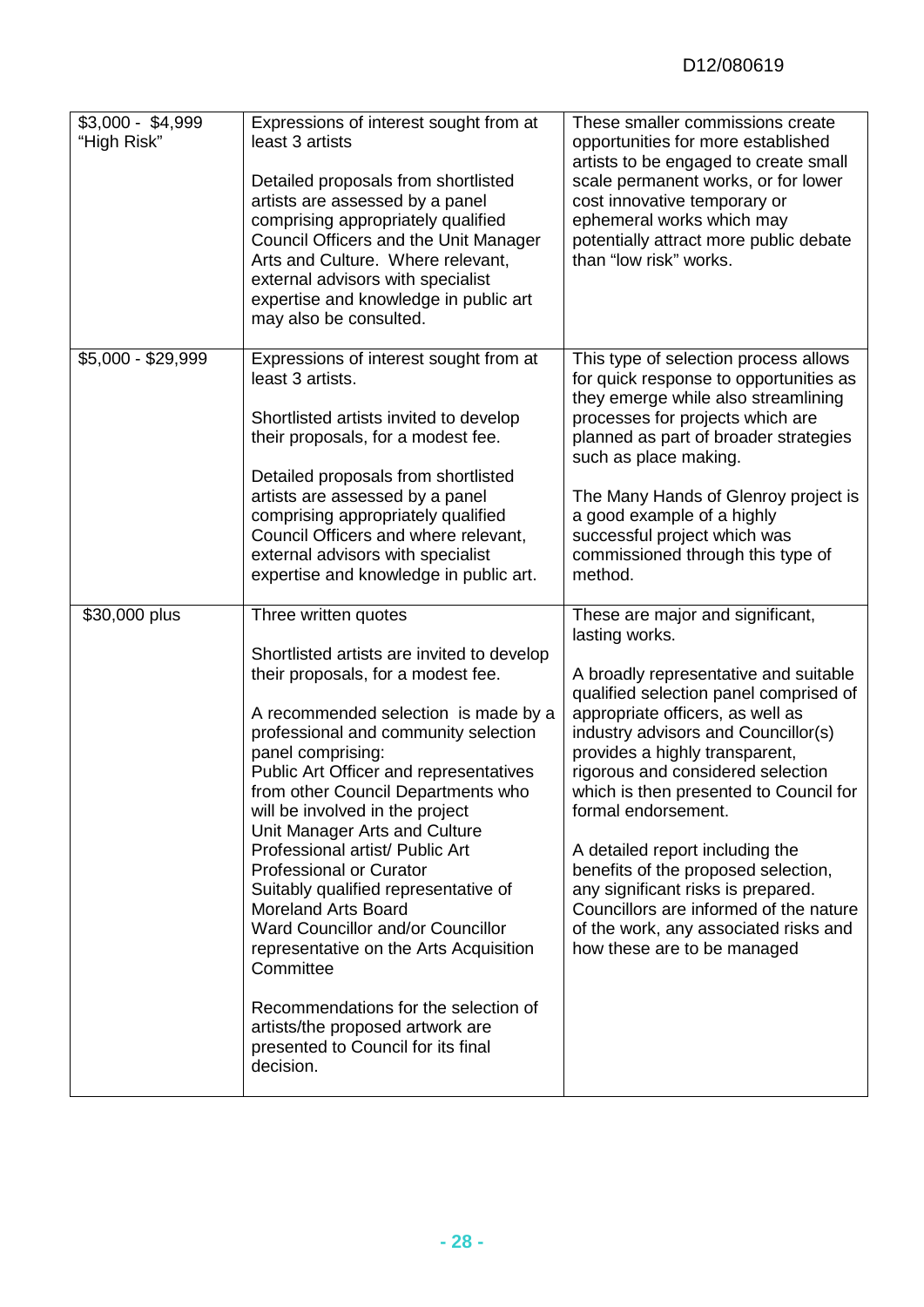| $$3,000 - $4,999$<br>"High Risk" | Expressions of interest sought from at<br>least 3 artists<br>Detailed proposals from shortlisted<br>artists are assessed by a panel<br>comprising appropriately qualified<br>Council Officers and the Unit Manager<br>Arts and Culture. Where relevant,<br>external advisors with specialist<br>expertise and knowledge in public art<br>may also be consulted.                                                                                                                                                                                                                                                                                                                                                                         | These smaller commissions create<br>opportunities for more established<br>artists to be engaged to create small<br>scale permanent works, or for lower<br>cost innovative temporary or<br>ephemeral works which may<br>potentially attract more public debate<br>than "low risk" works.                                                                                                                                                                                                                                                                                                    |
|----------------------------------|-----------------------------------------------------------------------------------------------------------------------------------------------------------------------------------------------------------------------------------------------------------------------------------------------------------------------------------------------------------------------------------------------------------------------------------------------------------------------------------------------------------------------------------------------------------------------------------------------------------------------------------------------------------------------------------------------------------------------------------------|--------------------------------------------------------------------------------------------------------------------------------------------------------------------------------------------------------------------------------------------------------------------------------------------------------------------------------------------------------------------------------------------------------------------------------------------------------------------------------------------------------------------------------------------------------------------------------------------|
| \$5,000 - \$29,999               | Expressions of interest sought from at<br>least 3 artists.<br>Shortlisted artists invited to develop<br>their proposals, for a modest fee.<br>Detailed proposals from shortlisted<br>artists are assessed by a panel<br>comprising appropriately qualified<br>Council Officers and where relevant,<br>external advisors with specialist<br>expertise and knowledge in public art.                                                                                                                                                                                                                                                                                                                                                       | This type of selection process allows<br>for quick response to opportunities as<br>they emerge while also streamlining<br>processes for projects which are<br>planned as part of broader strategies<br>such as place making.<br>The Many Hands of Glenroy project is<br>a good example of a highly<br>successful project which was<br>commissioned through this type of<br>method.                                                                                                                                                                                                         |
| \$30,000 plus                    | Three written quotes<br>Shortlisted artists are invited to develop<br>their proposals, for a modest fee.<br>A recommended selection is made by a<br>professional and community selection<br>panel comprising:<br>Public Art Officer and representatives<br>from other Council Departments who<br>will be involved in the project<br>Unit Manager Arts and Culture<br>Professional artist/ Public Art<br><b>Professional or Curator</b><br>Suitably qualified representative of<br><b>Moreland Arts Board</b><br>Ward Councillor and/or Councillor<br>representative on the Arts Acquisition<br>Committee<br>Recommendations for the selection of<br>artists/the proposed artwork are<br>presented to Council for its final<br>decision. | These are major and significant,<br>lasting works.<br>A broadly representative and suitable<br>qualified selection panel comprised of<br>appropriate officers, as well as<br>industry advisors and Councillor(s)<br>provides a highly transparent,<br>rigorous and considered selection<br>which is then presented to Council for<br>formal endorsement.<br>A detailed report including the<br>benefits of the proposed selection,<br>any significant risks is prepared.<br>Councillors are informed of the nature<br>of the work, any associated risks and<br>how these are to be managed |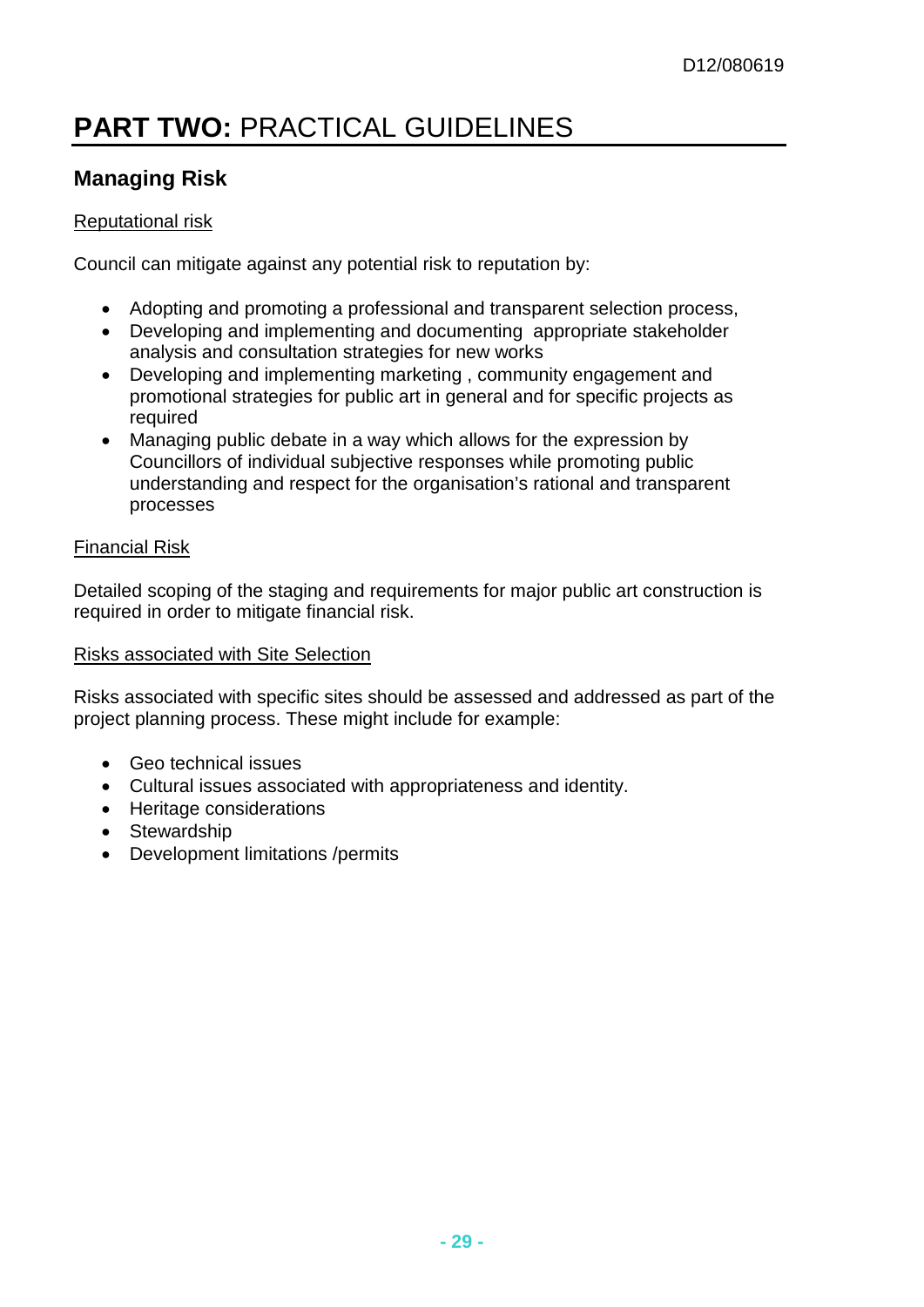#### **Managing Risk**

#### Reputational risk

Council can mitigate against any potential risk to reputation by:

- Adopting and promoting a professional and transparent selection process,
- Developing and implementing and documenting appropriate stakeholder analysis and consultation strategies for new works
- Developing and implementing marketing , community engagement and promotional strategies for public art in general and for specific projects as required
- Managing public debate in a way which allows for the expression by Councillors of individual subjective responses while promoting public understanding and respect for the organisation's rational and transparent processes

#### Financial Risk

Detailed scoping of the staging and requirements for major public art construction is required in order to mitigate financial risk.

#### Risks associated with Site Selection

Risks associated with specific sites should be assessed and addressed as part of the project planning process. These might include for example:

- Geo technical issues
- Cultural issues associated with appropriateness and identity.
- Heritage considerations
- Stewardship
- Development limitations /permits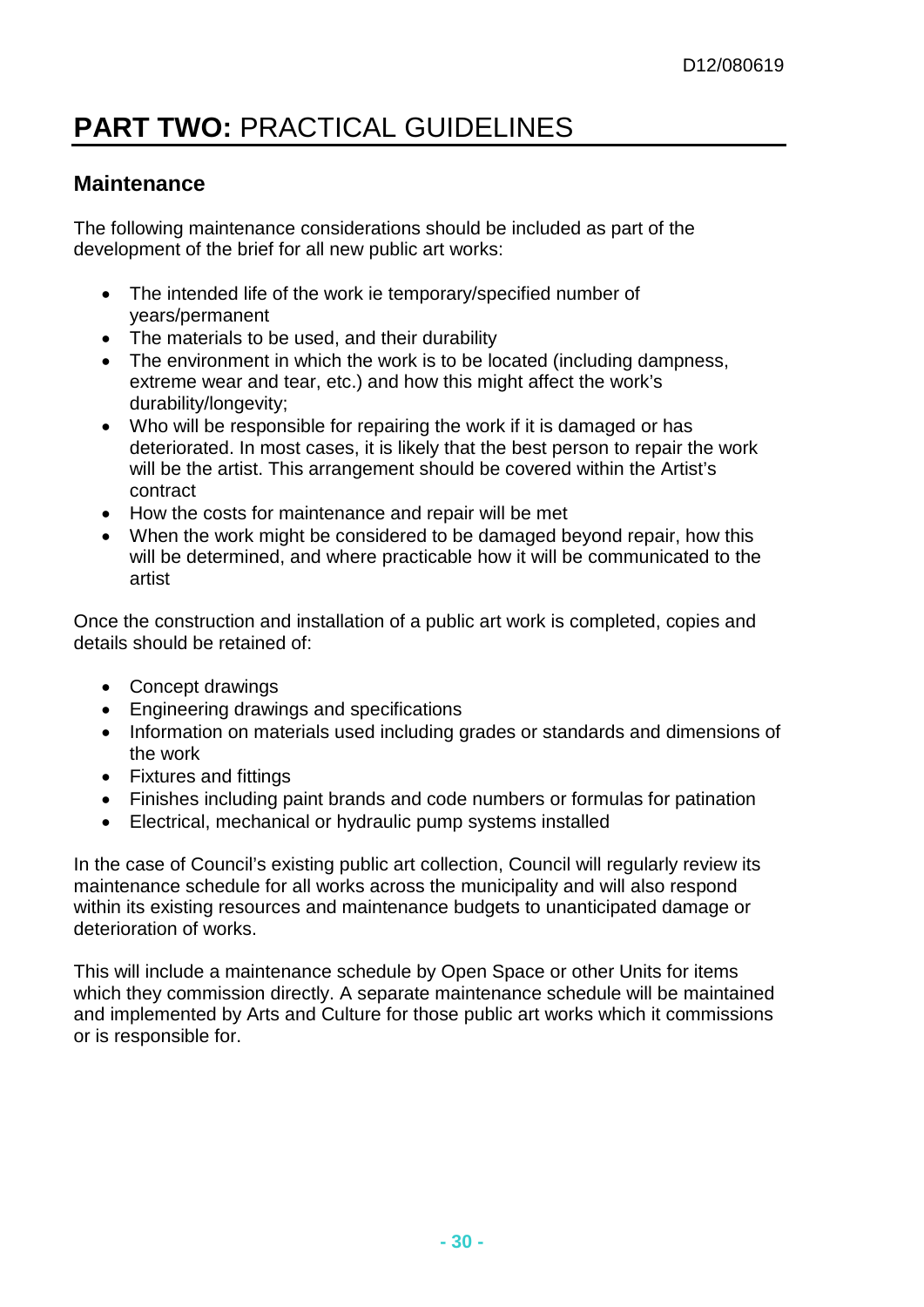#### **Maintenance**

The following maintenance considerations should be included as part of the development of the brief for all new public art works:

- The intended life of the work ie temporary/specified number of years/permanent
- The materials to be used, and their durability
- The environment in which the work is to be located (including dampness, extreme wear and tear, etc.) and how this might affect the work's durability/longevity;
- Who will be responsible for repairing the work if it is damaged or has deteriorated. In most cases, it is likely that the best person to repair the work will be the artist. This arrangement should be covered within the Artist's contract
- How the costs for maintenance and repair will be met
- When the work might be considered to be damaged beyond repair, how this will be determined, and where practicable how it will be communicated to the artist

Once the construction and installation of a public art work is completed, copies and details should be retained of:

- Concept drawings
- Engineering drawings and specifications
- Information on materials used including grades or standards and dimensions of the work
- Fixtures and fittings
- Finishes including paint brands and code numbers or formulas for patination
- Electrical, mechanical or hydraulic pump systems installed

In the case of Council's existing public art collection, Council will regularly review its maintenance schedule for all works across the municipality and will also respond within its existing resources and maintenance budgets to unanticipated damage or deterioration of works.

This will include a maintenance schedule by Open Space or other Units for items which they commission directly. A separate maintenance schedule will be maintained and implemented by Arts and Culture for those public art works which it commissions or is responsible for.